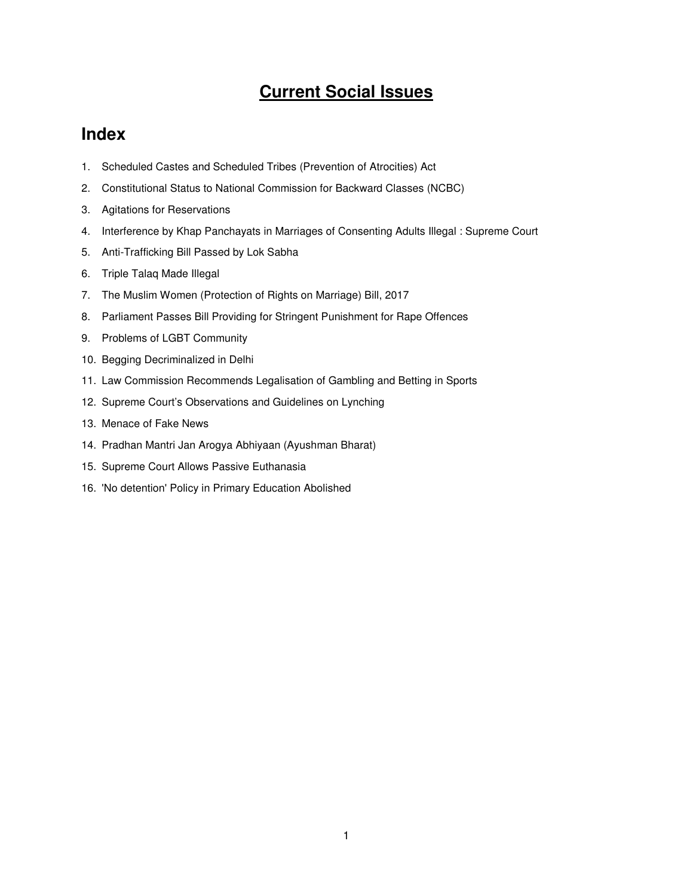# **Current Social Issues**

# **Index**

- 1. Scheduled Castes and Scheduled Tribes (Prevention of Atrocities) Act
- 2. Constitutional Status to National Commission for Backward Classes (NCBC)
- 3. Agitations for Reservations
- 4. Interference by Khap Panchayats in Marriages of Consenting Adults Illegal : Supreme Court
- 5. Anti-Trafficking Bill Passed by Lok Sabha
- 6. Triple Talaq Made Illegal
- 7. The Muslim Women (Protection of Rights on Marriage) Bill, 2017
- 8. Parliament Passes Bill Providing for Stringent Punishment for Rape Offences
- 9. Problems of LGBT Community
- 10. Begging Decriminalized in Delhi
- 11. Law Commission Recommends Legalisation of Gambling and Betting in Sports
- 12. Supreme Court's Observations and Guidelines on Lynching
- 13. Menace of Fake News
- 14. Pradhan Mantri Jan Arogya Abhiyaan (Ayushman Bharat)
- 15. Supreme Court Allows Passive Euthanasia
- 16. 'No detention' Policy in Primary Education Abolished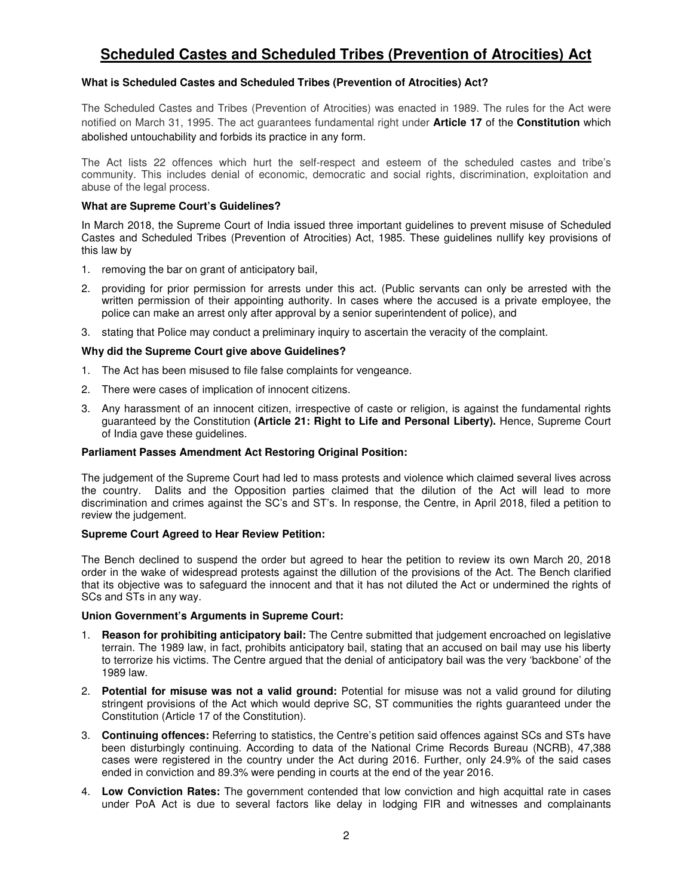# **Scheduled Castes and Scheduled Tribes (Prevention of Atrocities) Act**

# **What is Scheduled Castes and Scheduled Tribes (Prevention of Atrocities) Act?**

The Scheduled Castes and Tribes (Prevention of Atrocities) was enacted in 1989. The rules for the Act were notified on March 31, 1995. The act guarantees fundamental right under **Article 17** of the **Constitution** which abolished untouchability and forbids its practice in any form.

The Act lists 22 offences which hurt the self-respect and esteem of the scheduled castes and tribe's community. This includes denial of economic, democratic and social rights, discrimination, exploitation and abuse of the legal process.

# **What are Supreme Court's Guidelines?**

In March 2018, the Supreme Court of India issued three important guidelines to prevent misuse of Scheduled Castes and Scheduled Tribes (Prevention of Atrocities) Act, 1985. These guidelines nullify key provisions of this law by

- 1. removing the bar on grant of anticipatory bail,
- 2. providing for prior permission for arrests under this act. (Public servants can only be arrested with the written permission of their appointing authority. In cases where the accused is a private employee, the police can make an arrest only after approval by a senior superintendent of police), and
- 3. stating that Police may conduct a preliminary inquiry to ascertain the veracity of the complaint.

### **Why did the Supreme Court give above Guidelines?**

- 1. The Act has been misused to file false complaints for vengeance.
- 2. There were cases of implication of innocent citizens.
- 3. Any harassment of an innocent citizen, irrespective of caste or religion, is against the fundamental rights guaranteed by the Constitution **(Article 21: Right to Life and Personal Liberty).** Hence, Supreme Court of India gave these guidelines.

### **Parliament Passes Amendment Act Restoring Original Position:**

The judgement of the Supreme Court had led to mass protests and violence which claimed several lives across the country. Dalits and the Opposition parties claimed that the dilution of the Act will lead to more discrimination and crimes against the SC's and ST's. In response, the Centre, in April 2018, filed a petition to review the judgement.

# **Supreme Court Agreed to Hear Review Petition:**

The Bench declined to suspend the order but agreed to hear the petition to review its own March 20, 2018 order in the wake of widespread protests against the dillution of the provisions of the Act. The Bench clarified that its objective was to safeguard the innocent and that it has not diluted the Act or undermined the rights of SCs and STs in any way.

### **Union Government's Arguments in Supreme Court:**

- 1. **Reason for prohibiting anticipatory bail:** The Centre submitted that judgement encroached on legislative terrain. The 1989 law, in fact, prohibits anticipatory bail, stating that an accused on bail may use his liberty to terrorize his victims. The Centre argued that the denial of anticipatory bail was the very 'backbone' of the 1989 law.
- 2. **Potential for misuse was not a valid ground:** Potential for misuse was not a valid ground for diluting stringent provisions of the Act which would deprive SC, ST communities the rights guaranteed under the Constitution (Article 17 of the Constitution).
- 3. **Continuing offences:** Referring to statistics, the Centre's petition said offences against SCs and STs have been disturbingly continuing. According to data of the National Crime Records Bureau (NCRB), 47,388 cases were registered in the country under the Act during 2016. Further, only 24.9% of the said cases ended in conviction and 89.3% were pending in courts at the end of the year 2016.
- 4. **Low Conviction Rates:** The government contended that low conviction and high acquittal rate in cases under PoA Act is due to several factors like delay in lodging FIR and witnesses and complainants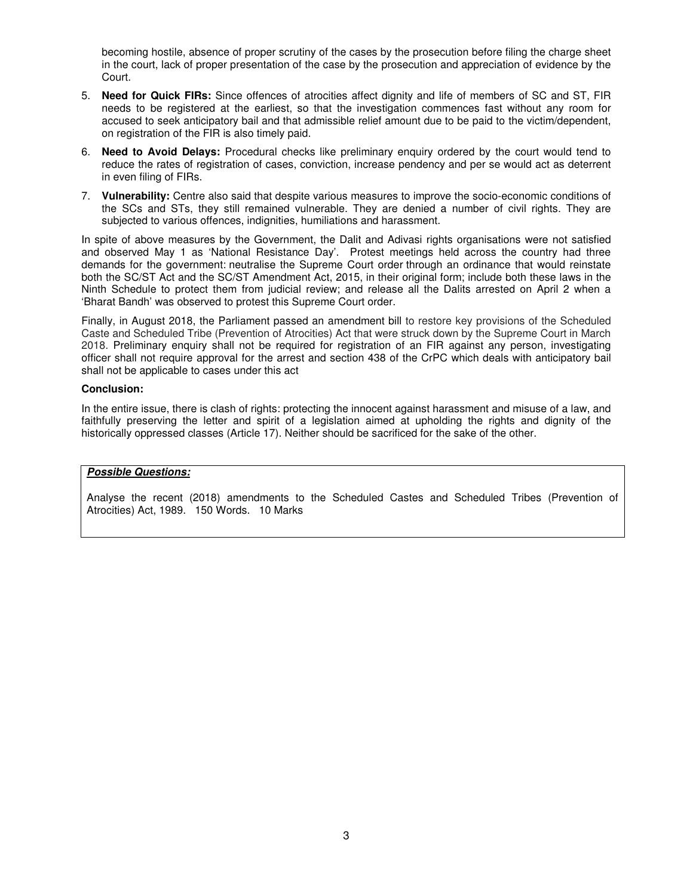becoming hostile, absence of proper scrutiny of the cases by the prosecution before filing the charge sheet in the court, lack of proper presentation of the case by the prosecution and appreciation of evidence by the Court.

- 5. **Need for Quick FIRs:** Since offences of atrocities affect dignity and life of members of SC and ST, FIR needs to be registered at the earliest, so that the investigation commences fast without any room for accused to seek anticipatory bail and that admissible relief amount due to be paid to the victim/dependent, on registration of the FIR is also timely paid.
- 6. **Need to Avoid Delays:** Procedural checks like preliminary enquiry ordered by the court would tend to reduce the rates of registration of cases, conviction, increase pendency and per se would act as deterrent in even filing of FIRs.
- 7. **Vulnerability:** Centre also said that despite various measures to improve the socio-economic conditions of the SCs and STs, they still remained vulnerable. They are denied a number of civil rights. They are subjected to various offences, indignities, humiliations and harassment.

In spite of above measures by the Government, the Dalit and Adivasi rights organisations were not satisfied and observed May 1 as 'National Resistance Day'. Protest meetings held across the country had three demands for the government: neutralise the Supreme Court order through an ordinance that would reinstate both the SC/ST Act and the SC/ST Amendment Act, 2015, in their original form; include both these laws in the Ninth Schedule to protect them from judicial review; and release all the Dalits arrested on April 2 when a 'Bharat Bandh' was observed to protest this Supreme Court order.

Finally, in August 2018, the Parliament passed an amendment bill to restore key provisions of the Scheduled Caste and Scheduled Tribe (Prevention of Atrocities) Act that were struck down by the Supreme Court in March 2018. Preliminary enquiry shall not be required for registration of an FIR against any person, investigating officer shall not require approval for the arrest and section 438 of the CrPC which deals with anticipatory bail shall not be applicable to cases under this act

### **Conclusion:**

In the entire issue, there is clash of rights: protecting the innocent against harassment and misuse of a law, and faithfully preserving the letter and spirit of a legislation aimed at upholding the rights and dignity of the historically oppressed classes (Article 17). Neither should be sacrificed for the sake of the other.

# **Possible Questions:**

Analyse the recent (2018) amendments to the Scheduled Castes and Scheduled Tribes (Prevention of Atrocities) Act, 1989. 150 Words. 10 Marks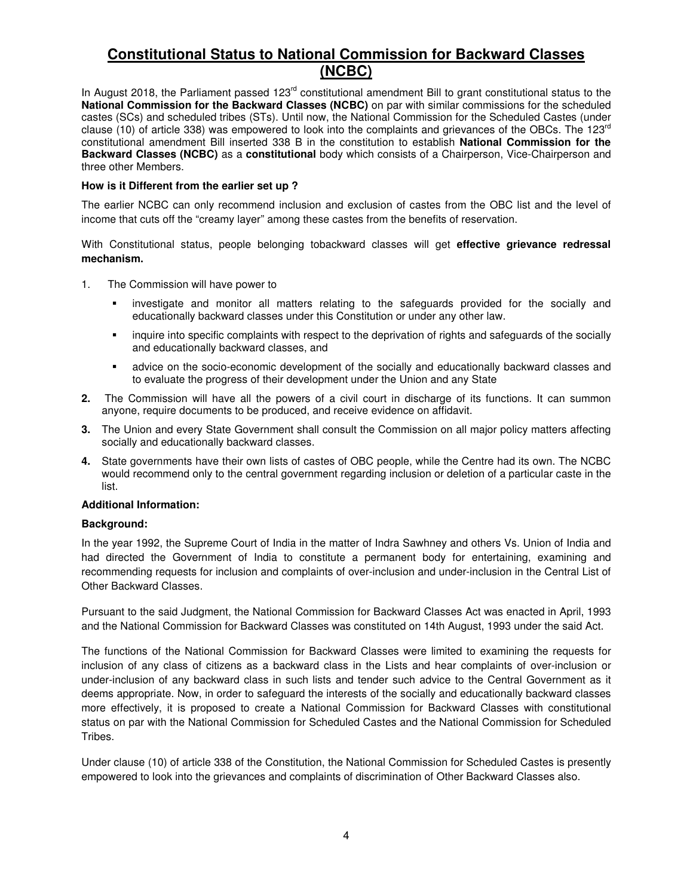# **Constitutional Status to National Commission for Backward Classes (NCBC)**

In August 2018, the Parliament passed 123<sup>rd</sup> constitutional amendment Bill to grant constitutional status to the **National Commission for the Backward Classes (NCBC)** on par with similar commissions for the scheduled castes (SCs) and scheduled tribes (STs). Until now, the National Commission for the Scheduled Castes (under clause (10) of article 338) was empowered to look into the complaints and grievances of the OBCs. The 123<sup>rd</sup> constitutional amendment Bill inserted 338 B in the constitution to establish **National Commission for the Backward Classes (NCBC)** as a **constitutional** body which consists of a Chairperson, Vice-Chairperson and three other Members.

# **How is it Different from the earlier set up ?**

The earlier NCBC can only recommend inclusion and exclusion of castes from the OBC list and the level of income that cuts off the "creamy layer" among these castes from the benefits of reservation.

With Constitutional status, people belonging tobackward classes will get **effective grievance redressal mechanism.** 

- 1. The Commission will have power to
	- investigate and monitor all matters relating to the safeguards provided for the socially and educationally backward classes under this Constitution or under any other law.
	- **Example into specific complaints with respect to the deprivation of rights and safeguards of the socially** and educationally backward classes, and
	- advice on the socio-economic development of the socially and educationally backward classes and to evaluate the progress of their development under the Union and any State
- **2.** The Commission will have all the powers of a civil court in discharge of its functions. It can summon anyone, require documents to be produced, and receive evidence on affidavit.
- **3.** The Union and every State Government shall consult the Commission on all major policy matters affecting socially and educationally backward classes.
- **4.** State governments have their own lists of castes of OBC people, while the Centre had its own. The NCBC would recommend only to the central government regarding inclusion or deletion of a particular caste in the list.

### **Additional Information:**

### **Background:**

In the year 1992, the Supreme Court of India in the matter of Indra Sawhney and others Vs. Union of India and had directed the Government of India to constitute a permanent body for entertaining, examining and recommending requests for inclusion and complaints of over-inclusion and under-inclusion in the Central List of Other Backward Classes.

Pursuant to the said Judgment, the National Commission for Backward Classes Act was enacted in April, 1993 and the National Commission for Backward Classes was constituted on 14th August, 1993 under the said Act.

The functions of the National Commission for Backward Classes were limited to examining the requests for inclusion of any class of citizens as a backward class in the Lists and hear complaints of over-inclusion or under-inclusion of any backward class in such lists and tender such advice to the Central Government as it deems appropriate. Now, in order to safeguard the interests of the socially and educationally backward classes more effectively, it is proposed to create a National Commission for Backward Classes with constitutional status on par with the National Commission for Scheduled Castes and the National Commission for Scheduled Tribes.

Under clause (10) of article 338 of the Constitution, the National Commission for Scheduled Castes is presently empowered to look into the grievances and complaints of discrimination of Other Backward Classes also.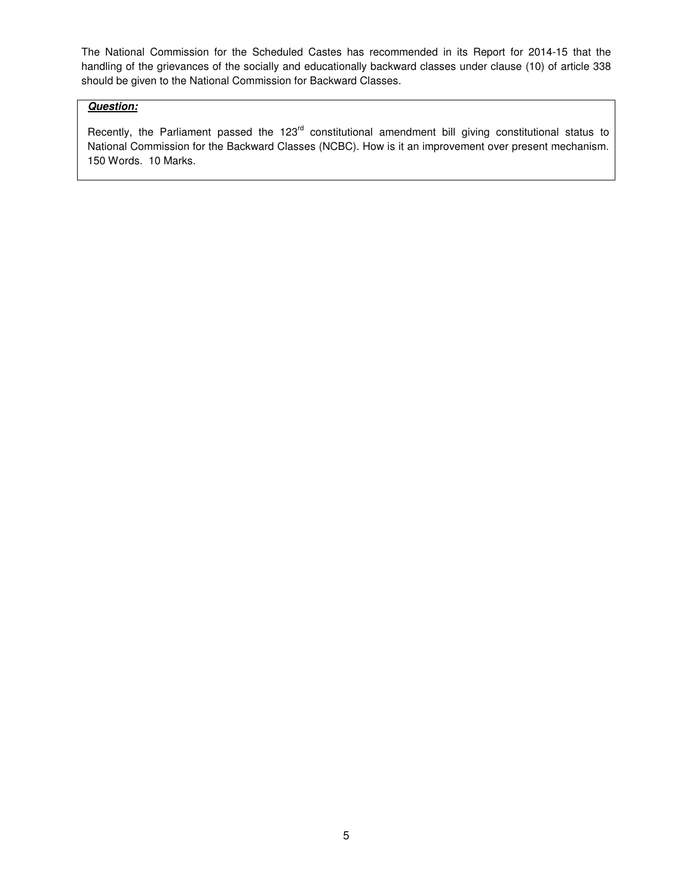The National Commission for the Scheduled Castes has recommended in its Report for 2014-15 that the handling of the grievances of the socially and educationally backward classes under clause (10) of article 338 should be given to the National Commission for Backward Classes.

# **Question:**

Recently, the Parliament passed the 123<sup>rd</sup> constitutional amendment bill giving constitutional status to National Commission for the Backward Classes (NCBC). How is it an improvement over present mechanism. 150 Words. 10 Marks.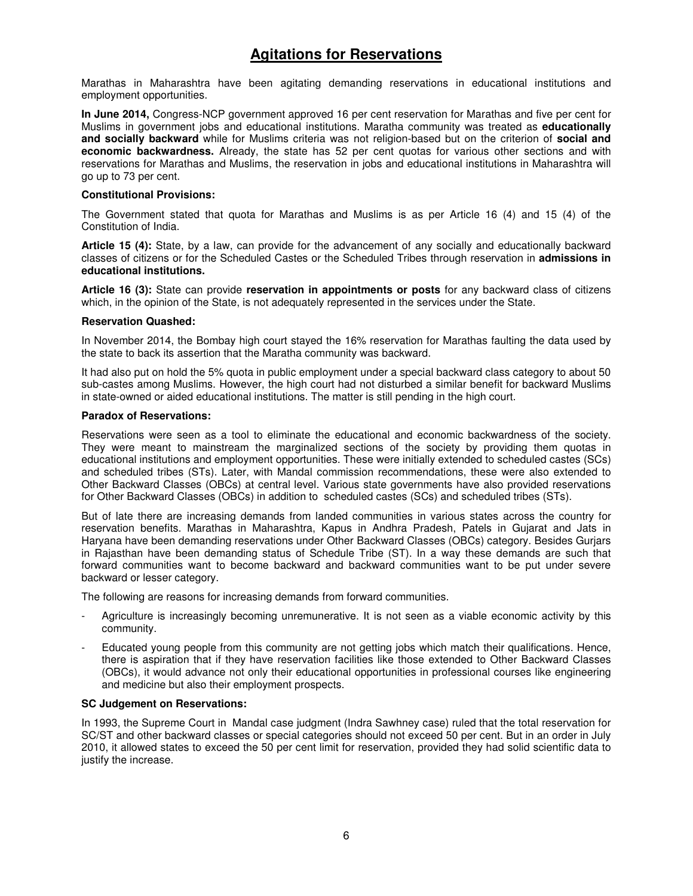# **Agitations for Reservations**

Marathas in Maharashtra have been agitating demanding reservations in educational institutions and employment opportunities.

**In June 2014,** Congress-NCP government approved 16 per cent reservation for Marathas and five per cent for Muslims in government jobs and educational institutions. Maratha community was treated as **educationally and socially backward** while for Muslims criteria was not religion-based but on the criterion of **social and economic backwardness.** Already, the state has 52 per cent quotas for various other sections and with reservations for Marathas and Muslims, the reservation in jobs and educational institutions in Maharashtra will go up to 73 per cent.

### **Constitutional Provisions:**

The Government stated that quota for Marathas and Muslims is as per Article 16 (4) and 15 (4) of the Constitution of India.

**Article 15 (4):** State, by a law, can provide for the advancement of any socially and educationally backward classes of citizens or for the Scheduled Castes or the Scheduled Tribes through reservation in **admissions in educational institutions.** 

**Article 16 (3):** State can provide **reservation in appointments or posts** for any backward class of citizens which, in the opinion of the State, is not adequately represented in the services under the State.

### **Reservation Quashed:**

In November 2014, the Bombay high court stayed the 16% reservation for Marathas faulting the data used by the state to back its assertion that the Maratha community was backward.

It had also put on hold the 5% quota in public employment under a special backward class category to about 50 sub-castes among Muslims. However, the high court had not disturbed a similar benefit for backward Muslims in state-owned or aided educational institutions. The matter is still pending in the high court.

### **Paradox of Reservations:**

Reservations were seen as a tool to eliminate the educational and economic backwardness of the society. They were meant to mainstream the marginalized sections of the society by providing them quotas in educational institutions and employment opportunities. These were initially extended to scheduled castes (SCs) and scheduled tribes (STs). Later, with Mandal commission recommendations, these were also extended to Other Backward Classes (OBCs) at central level. Various state governments have also provided reservations for Other Backward Classes (OBCs) in addition to scheduled castes (SCs) and scheduled tribes (STs).

But of late there are increasing demands from landed communities in various states across the country for reservation benefits. Marathas in Maharashtra, Kapus in Andhra Pradesh, Patels in Gujarat and Jats in Haryana have been demanding reservations under Other Backward Classes (OBCs) category. Besides Gurjars in Rajasthan have been demanding status of Schedule Tribe (ST). In a way these demands are such that forward communities want to become backward and backward communities want to be put under severe backward or lesser category.

The following are reasons for increasing demands from forward communities.

- Agriculture is increasingly becoming unremunerative. It is not seen as a viable economic activity by this community.
- Educated young people from this community are not getting jobs which match their qualifications. Hence, there is aspiration that if they have reservation facilities like those extended to Other Backward Classes (OBCs), it would advance not only their educational opportunities in professional courses like engineering and medicine but also their employment prospects.

### **SC Judgement on Reservations:**

In 1993, the Supreme Court in Mandal case judgment (Indra Sawhney case) ruled that the total reservation for SC/ST and other backward classes or special categories should not exceed 50 per cent. But in an order in July 2010, it allowed states to exceed the 50 per cent limit for reservation, provided they had solid scientific data to justify the increase.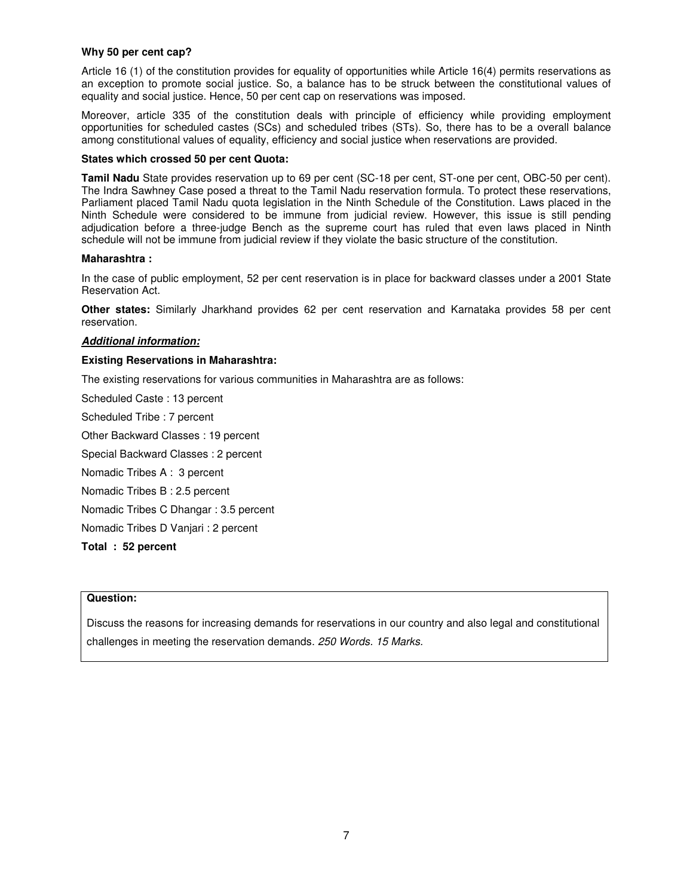### **Why 50 per cent cap?**

Article 16 (1) of the constitution provides for equality of opportunities while Article 16(4) permits reservations as an exception to promote social justice. So, a balance has to be struck between the constitutional values of equality and social justice. Hence, 50 per cent cap on reservations was imposed.

Moreover, article 335 of the constitution deals with principle of efficiency while providing employment opportunities for scheduled castes (SCs) and scheduled tribes (STs). So, there has to be a overall balance among constitutional values of equality, efficiency and social justice when reservations are provided.

#### **States which crossed 50 per cent Quota:**

**Tamil Nadu** State provides reservation up to 69 per cent (SC-18 per cent, ST-one per cent, OBC-50 per cent). The Indra Sawhney Case posed a threat to the Tamil Nadu reservation formula. To protect these reservations, Parliament placed Tamil Nadu quota legislation in the Ninth Schedule of the Constitution. Laws placed in the Ninth Schedule were considered to be immune from judicial review. However, this issue is still pending adjudication before a three-judge Bench as the supreme court has ruled that even laws placed in Ninth schedule will not be immune from judicial review if they violate the basic structure of the constitution.

### **Maharashtra :**

In the case of public employment, 52 per cent reservation is in place for backward classes under a 2001 State Reservation Act.

**Other states:** Similarly Jharkhand provides 62 per cent reservation and Karnataka provides 58 per cent reservation.

### **Additional information:**

#### **Existing Reservations in Maharashtra:**

The existing reservations for various communities in Maharashtra are as follows:

Scheduled Caste : 13 percent

Scheduled Tribe : 7 percent

Other Backward Classes : 19 percent

Special Backward Classes : 2 percent

Nomadic Tribes A : 3 percent

Nomadic Tribes B : 2.5 percent

Nomadic Tribes C Dhangar : 3.5 percent

Nomadic Tribes D Vanjari : 2 percent

**Total : 52 percent** 

### **Question:**

Discuss the reasons for increasing demands for reservations in our country and also legal and constitutional challenges in meeting the reservation demands. 250 Words. 15 Marks.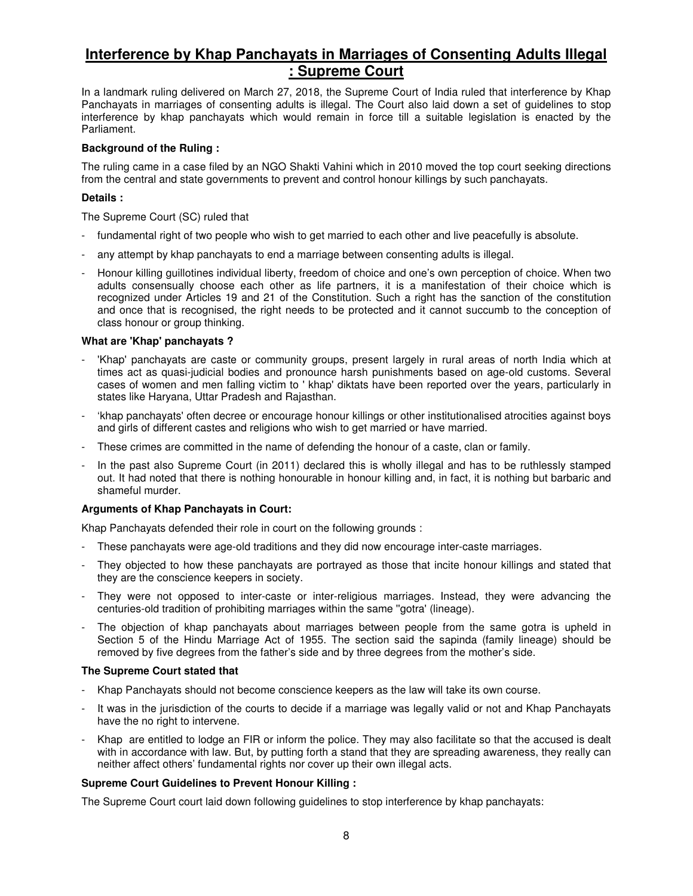# **Interference by Khap Panchayats in Marriages of Consenting Adults Illegal : Supreme Court**

In a landmark ruling delivered on March 27, 2018, the Supreme Court of India ruled that interference by Khap Panchayats in marriages of consenting adults is illegal. The Court also laid down a set of guidelines to stop interference by khap panchayats which would remain in force till a suitable legislation is enacted by the Parliament.

### **Background of the Ruling :**

The ruling came in a case filed by an NGO Shakti Vahini which in 2010 moved the top court seeking directions from the central and state governments to prevent and control honour killings by such panchayats.

### **Details :**

The Supreme Court (SC) ruled that

- fundamental right of two people who wish to get married to each other and live peacefully is absolute.
- any attempt by khap panchayats to end a marriage between consenting adults is illegal.
- Honour killing guillotines individual liberty, freedom of choice and one's own perception of choice. When two adults consensually choose each other as life partners, it is a manifestation of their choice which is recognized under Articles 19 and 21 of the Constitution. Such a right has the sanction of the constitution and once that is recognised, the right needs to be protected and it cannot succumb to the conception of class honour or group thinking.

### **What are 'Khap' panchayats ?**

- 'Khap' panchayats are caste or community groups, present largely in rural areas of north India which at times act as quasi-judicial bodies and pronounce harsh punishments based on age-old customs. Several cases of women and men falling victim to ' khap' diktats have been reported over the years, particularly in states like Haryana, Uttar Pradesh and Rajasthan.
- 'khap panchayats' often decree or encourage honour killings or other institutionalised atrocities against boys and girls of different castes and religions who wish to get married or have married.
- These crimes are committed in the name of defending the honour of a caste, clan or family.
- In the past also Supreme Court (in 2011) declared this is wholly illegal and has to be ruthlessly stamped out. It had noted that there is nothing honourable in honour killing and, in fact, it is nothing but barbaric and shameful murder.

### **Arguments of Khap Panchayats in Court:**

Khap Panchayats defended their role in court on the following grounds :

- These panchayats were age-old traditions and they did now encourage inter-caste marriages.
- They objected to how these panchayats are portrayed as those that incite honour killings and stated that they are the conscience keepers in society.
- They were not opposed to inter-caste or inter-religious marriages. Instead, they were advancing the centuries-old tradition of prohibiting marriages within the same ''gotra' (lineage).
- The objection of khap panchayats about marriages between people from the same gotra is upheld in Section 5 of the Hindu Marriage Act of 1955. The section said the sapinda (family lineage) should be removed by five degrees from the father's side and by three degrees from the mother's side.

### **The Supreme Court stated that**

- Khap Panchayats should not become conscience keepers as the law will take its own course.
- It was in the jurisdiction of the courts to decide if a marriage was legally valid or not and Khap Panchayats have the no right to intervene.
- Khap are entitled to lodge an FIR or inform the police. They may also facilitate so that the accused is dealt with in accordance with law. But, by putting forth a stand that they are spreading awareness, they really can neither affect others' fundamental rights nor cover up their own illegal acts.

### **Supreme Court Guidelines to Prevent Honour Killing :**

The Supreme Court court laid down following guidelines to stop interference by khap panchayats: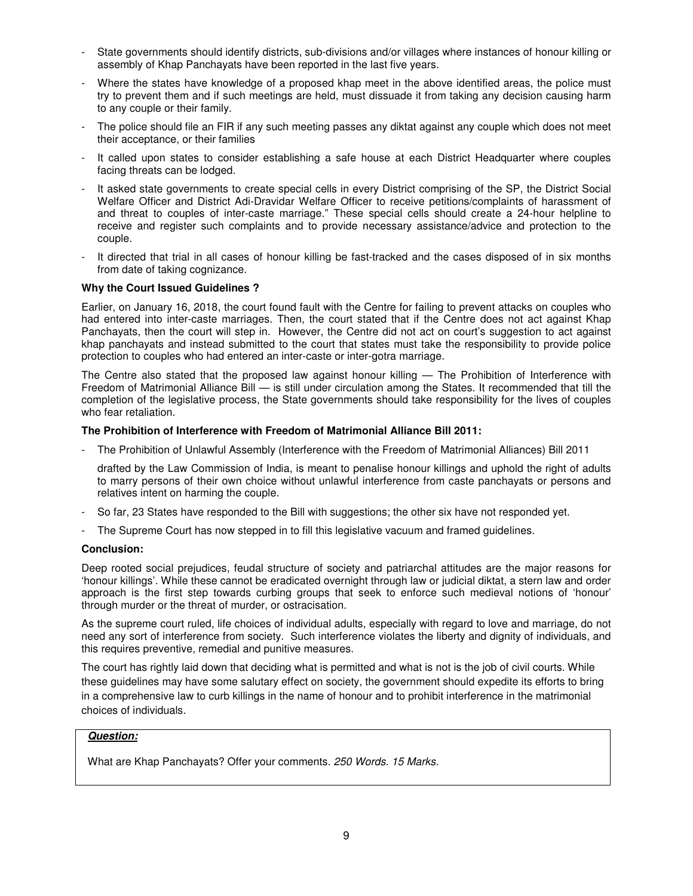- State governments should identify districts, sub-divisions and/or villages where instances of honour killing or assembly of Khap Panchayats have been reported in the last five years.
- Where the states have knowledge of a proposed khap meet in the above identified areas, the police must try to prevent them and if such meetings are held, must dissuade it from taking any decision causing harm to any couple or their family.
- The police should file an FIR if any such meeting passes any diktat against any couple which does not meet their acceptance, or their families
- It called upon states to consider establishing a safe house at each District Headquarter where couples facing threats can be lodged.
- It asked state governments to create special cells in every District comprising of the SP, the District Social Welfare Officer and District Adi-Dravidar Welfare Officer to receive petitions/complaints of harassment of and threat to couples of inter-caste marriage." These special cells should create a 24-hour helpline to receive and register such complaints and to provide necessary assistance/advice and protection to the couple.
- It directed that trial in all cases of honour killing be fast-tracked and the cases disposed of in six months from date of taking cognizance.

### **Why the Court Issued Guidelines ?**

Earlier, on January 16, 2018, the court found fault with the Centre for failing to prevent attacks on couples who had entered into inter-caste marriages. Then, the court stated that if the Centre does not act against Khap Panchayats, then the court will step in. However, the Centre did not act on court's suggestion to act against khap panchayats and instead submitted to the court that states must take the responsibility to provide police protection to couples who had entered an inter-caste or inter-gotra marriage.

The Centre also stated that the proposed law against honour killing — The Prohibition of Interference with Freedom of Matrimonial Alliance Bill — is still under circulation among the States. It recommended that till the completion of the legislative process, the State governments should take responsibility for the lives of couples who fear retaliation.

### **The Prohibition of Interference with Freedom of Matrimonial Alliance Bill 2011:**

- The Prohibition of Unlawful Assembly (Interference with the Freedom of Matrimonial Alliances) Bill 2011

 drafted by the Law Commission of India, is meant to penalise honour killings and uphold the right of adults to marry persons of their own choice without unlawful interference from caste panchayats or persons and relatives intent on harming the couple.

- So far, 23 States have responded to the Bill with suggestions; the other six have not responded yet.
- The Supreme Court has now stepped in to fill this legislative vacuum and framed guidelines.

### **Conclusion:**

Deep rooted social prejudices, feudal structure of society and patriarchal attitudes are the major reasons for 'honour killings'. While these cannot be eradicated overnight through law or judicial diktat, a stern law and order approach is the first step towards curbing groups that seek to enforce such medieval notions of 'honour' through murder or the threat of murder, or ostracisation.

As the supreme court ruled, life choices of individual adults, especially with regard to love and marriage, do not need any sort of interference from society. Such interference violates the liberty and dignity of individuals, and this requires preventive, remedial and punitive measures.

The court has rightly laid down that deciding what is permitted and what is not is the job of civil courts. While these guidelines may have some salutary effect on society, the government should expedite its efforts to bring in a comprehensive law to curb killings in the name of honour and to prohibit interference in the matrimonial choices of individuals.

# **Question:**

What are Khap Panchayats? Offer your comments. 250 Words. 15 Marks.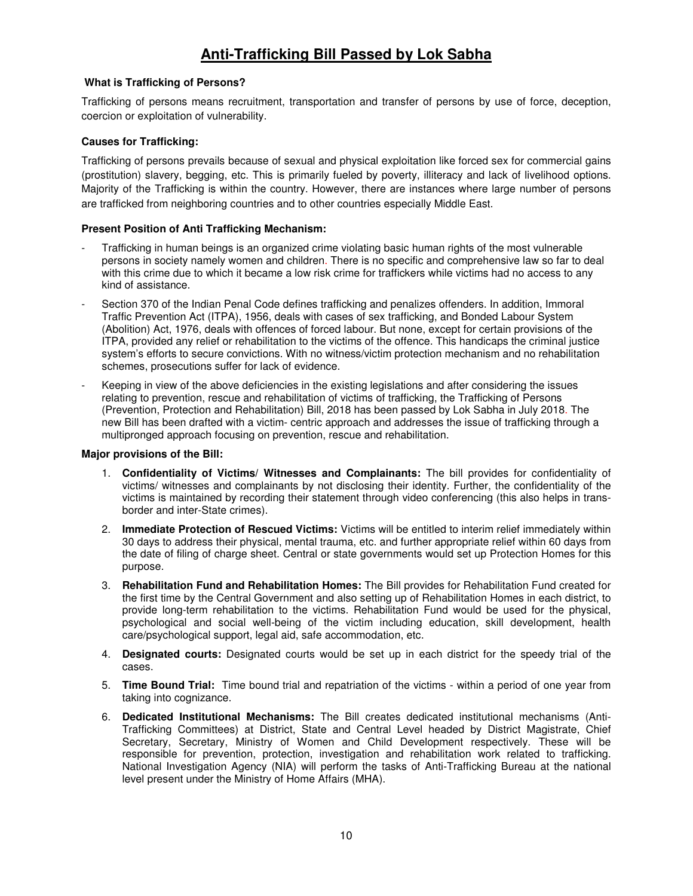# **Anti-Trafficking Bill Passed by Lok Sabha**

# **What is Trafficking of Persons?**

Trafficking of persons means recruitment, transportation and transfer of persons by use of force, deception, coercion or exploitation of vulnerability.

# **Causes for Trafficking:**

Trafficking of persons prevails because of sexual and physical exploitation like forced sex for commercial gains (prostitution) slavery, begging, etc. This is primarily fueled by poverty, illiteracy and lack of livelihood options. Majority of the Trafficking is within the country. However, there are instances where large number of persons are trafficked from neighboring countries and to other countries especially Middle East.

# **Present Position of Anti Trafficking Mechanism:**

- Trafficking in human beings is an organized crime violating basic human rights of the most vulnerable persons in society namely women and children. There is no specific and comprehensive law so far to deal with this crime due to which it became a low risk crime for traffickers while victims had no access to any kind of assistance.
- Section 370 of the Indian Penal Code defines trafficking and penalizes offenders. In addition, Immoral Traffic Prevention Act (ITPA), 1956, deals with cases of sex trafficking, and Bonded Labour System (Abolition) Act, 1976, deals with offences of forced labour. But none, except for certain provisions of the ITPA, provided any relief or rehabilitation to the victims of the offence. This handicaps the criminal justice system's efforts to secure convictions. With no witness/victim protection mechanism and no rehabilitation schemes, prosecutions suffer for lack of evidence.
- Keeping in view of the above deficiencies in the existing legislations and after considering the issues relating to prevention, rescue and rehabilitation of victims of trafficking, the Trafficking of Persons (Prevention, Protection and Rehabilitation) Bill, 2018 has been passed by Lok Sabha in July 2018. The new Bill has been drafted with a victim- centric approach and addresses the issue of trafficking through a multipronged approach focusing on prevention, rescue and rehabilitation.

# **Major provisions of the Bill:**

- 1. **Confidentiality of Victims/ Witnesses and Complainants:** The bill provides for confidentiality of victims/ witnesses and complainants by not disclosing their identity. Further, the confidentiality of the victims is maintained by recording their statement through video conferencing (this also helps in transborder and inter-State crimes).
- 2. **Immediate Protection of Rescued Victims:** Victims will be entitled to interim relief immediately within 30 days to address their physical, mental trauma, etc. and further appropriate relief within 60 days from the date of filing of charge sheet. Central or state governments would set up Protection Homes for this purpose.
- 3. **Rehabilitation Fund and Rehabilitation Homes:** The Bill provides for Rehabilitation Fund created for the first time by the Central Government and also setting up of Rehabilitation Homes in each district, to provide long-term rehabilitation to the victims. Rehabilitation Fund would be used for the physical, psychological and social well-being of the victim including education, skill development, health care/psychological support, legal aid, safe accommodation, etc.
- 4. **Designated courts:** Designated courts would be set up in each district for the speedy trial of the cases.
- 5. **Time Bound Trial:** Time bound trial and repatriation of the victims within a period of one year from taking into cognizance.
- 6. **Dedicated Institutional Mechanisms:** The Bill creates dedicated institutional mechanisms (Anti-Trafficking Committees) at District, State and Central Level headed by District Magistrate, Chief Secretary, Secretary, Ministry of Women and Child Development respectively. These will be responsible for prevention, protection, investigation and rehabilitation work related to trafficking. National Investigation Agency (NIA) will perform the tasks of Anti-Trafficking Bureau at the national level present under the Ministry of Home Affairs (MHA).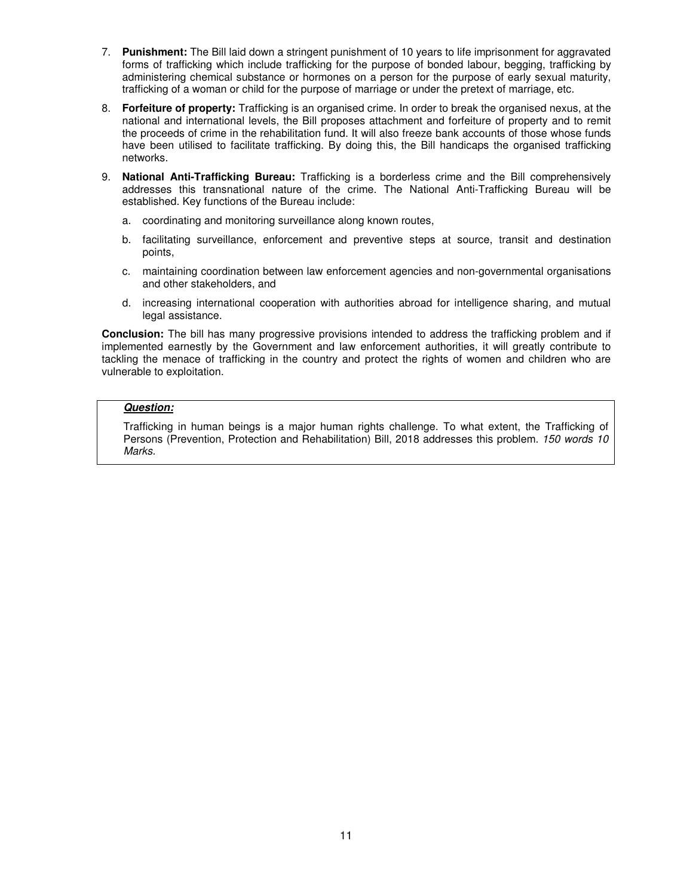- 7. **Punishment:** The Bill laid down a stringent punishment of 10 years to life imprisonment for aggravated forms of trafficking which include trafficking for the purpose of bonded labour, begging, trafficking by administering chemical substance or hormones on a person for the purpose of early sexual maturity, trafficking of a woman or child for the purpose of marriage or under the pretext of marriage, etc.
- 8. **Forfeiture of property:** Trafficking is an organised crime. In order to break the organised nexus, at the national and international levels, the Bill proposes attachment and forfeiture of property and to remit the proceeds of crime in the rehabilitation fund. It will also freeze bank accounts of those whose funds have been utilised to facilitate trafficking. By doing this, the Bill handicaps the organised trafficking networks.
- 9. **National Anti-Trafficking Bureau:** Trafficking is a borderless crime and the Bill comprehensively addresses this transnational nature of the crime. The National Anti-Trafficking Bureau will be established. Key functions of the Bureau include:
	- a. coordinating and monitoring surveillance along known routes,
	- b. facilitating surveillance, enforcement and preventive steps at source, transit and destination points,
	- c. maintaining coordination between law enforcement agencies and non-governmental organisations and other stakeholders, and
	- d. increasing international cooperation with authorities abroad for intelligence sharing, and mutual legal assistance.

**Conclusion:** The bill has many progressive provisions intended to address the trafficking problem and if implemented earnestly by the Government and law enforcement authorities, it will greatly contribute to tackling the menace of trafficking in the country and protect the rights of women and children who are vulnerable to exploitation.

# **Question:**

Trafficking in human beings is a major human rights challenge. To what extent, the Trafficking of Persons (Prevention, Protection and Rehabilitation) Bill, 2018 addresses this problem. 150 words 10 Marks.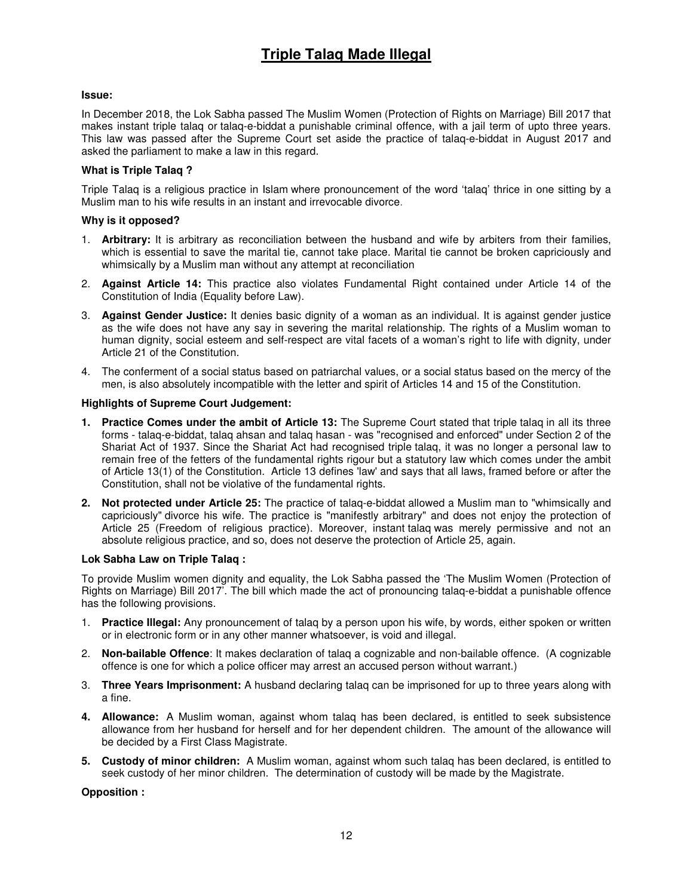# **Issue:**

In December 2018, the Lok Sabha passed The Muslim Women (Protection of Rights on Marriage) Bill 2017 that makes instant triple talaq or talaq-e-biddat a punishable criminal offence, with a jail term of upto three years. This law was passed after the Supreme Court set aside the practice of talaq-e-biddat in August 2017 and asked the parliament to make a law in this regard.

# **What is Triple Talaq ?**

Triple Talaq is a religious practice in Islam where pronouncement of the word 'talaq' thrice in one sitting by a Muslim man to his wife results in an instant and irrevocable divorce.

# **Why is it opposed?**

- 1. **Arbitrary:** It is arbitrary as reconciliation between the husband and wife by arbiters from their families, which is essential to save the marital tie, cannot take place. Marital tie cannot be broken capriciously and whimsically by a Muslim man without any attempt at reconciliation
- 2. **Against Article 14:** This practice also violates Fundamental Right contained under Article 14 of the Constitution of India (Equality before Law).
- 3. **Against Gender Justice:** It denies basic dignity of a woman as an individual. It is against gender justice as the wife does not have any say in severing the marital relationship. The rights of a Muslim woman to human dignity, social esteem and self-respect are vital facets of a woman's right to life with dignity, under Article 21 of the Constitution.
- 4. The conferment of a social status based on patriarchal values, or a social status based on the mercy of the men, is also absolutely incompatible with the letter and spirit of Articles 14 and 15 of the Constitution.

# **Highlights of Supreme Court Judgement:**

- **1. Practice Comes under the ambit of Article 13:** The Supreme Court stated that triple talaq in all its three forms - talaq-e-biddat, talaq ahsan and talaq hasan - was "recognised and enforced" under Section 2 of the Shariat Act of 1937. Since the Shariat Act had recognised triple talaq, it was no longer a personal law to remain free of the fetters of the fundamental rights rigour but a statutory law which comes under the ambit of Article 13(1) of the Constitution. Article 13 defines 'law' and says that all laws**,** framed before or after the Constitution, shall not be violative of the fundamental rights.
- **2. Not protected under Article 25:** The practice of talaq-e-biddat allowed a Muslim man to "whimsically and capriciously" divorce his wife. The practice is "manifestly arbitrary" and does not enjoy the protection of Article 25 (Freedom of religious practice). Moreover, instant talaq was merely permissive and not an absolute religious practice, and so, does not deserve the protection of Article 25, again.

# **Lok Sabha Law on Triple Talaq :**

To provide Muslim women dignity and equality, the Lok Sabha passed the 'The Muslim Women (Protection of Rights on Marriage) Bill 2017'. The bill which made the act of pronouncing talaq-e-biddat a punishable offence has the following provisions.

- 1. **Practice Illegal:** Any pronouncement of talaq by a person upon his wife, by words, either spoken or written or in electronic form or in any other manner whatsoever, is void and illegal.
- 2. **Non-bailable Offence**: It makes declaration of talaq a cognizable and non-bailable offence. (A cognizable offence is one for which a police officer may arrest an accused person without warrant.)
- 3. **Three Years Imprisonment:** A husband declaring talaq can be imprisoned for up to three years along with a fine.
- **4. Allowance:** A Muslim woman, against whom talaq has been declared, is entitled to seek subsistence allowance from her husband for herself and for her dependent children. The amount of the allowance will be decided by a First Class Magistrate.
- **5. Custody of minor children:** A Muslim woman, against whom such talaq has been declared, is entitled to seek custody of her minor children. The determination of custody will be made by the Magistrate.

# **Opposition :**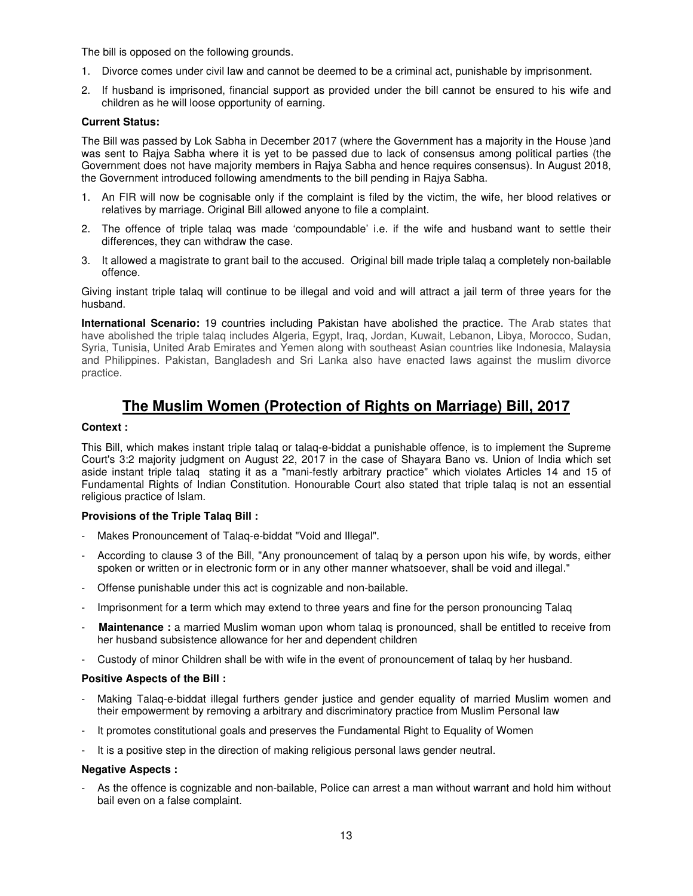The bill is opposed on the following grounds.

- 1. Divorce comes under civil law and cannot be deemed to be a criminal act, punishable by imprisonment.
- 2. If husband is imprisoned, financial support as provided under the bill cannot be ensured to his wife and children as he will loose opportunity of earning.

### **Current Status:**

The Bill was passed by Lok Sabha in December 2017 (where the Government has a majority in the House )and was sent to Rajya Sabha where it is yet to be passed due to lack of consensus among political parties (the Government does not have majority members in Rajya Sabha and hence requires consensus). In August 2018, the Government introduced following amendments to the bill pending in Rajya Sabha.

- 1. An FIR will now be cognisable only if the complaint is filed by the victim, the wife, her blood relatives or relatives by marriage. Original Bill allowed anyone to file a complaint.
- 2. The offence of triple talaq was made 'compoundable' i.e. if the wife and husband want to settle their differences, they can withdraw the case.
- 3. It allowed a magistrate to grant bail to the accused. Original bill made triple talaq a completely non-bailable offence.

Giving instant triple talaq will continue to be illegal and void and will attract a jail term of three years for the husband.

**International Scenario:** 19 countries including Pakistan have abolished the practice. The Arab states that have abolished the triple talaq includes Algeria, Egypt, Iraq, Jordan, Kuwait, Lebanon, Libya, Morocco, Sudan, Syria, Tunisia, United Arab Emirates and Yemen along with southeast Asian countries like Indonesia, Malaysia and Philippines. Pakistan, Bangladesh and Sri Lanka also have enacted laws against the muslim divorce practice.

# **The Muslim Women (Protection of Rights on Marriage) Bill, 2017**

### **Context :**

This Bill, which makes instant triple talaq or talaq-e-biddat a punishable offence, is to implement the Supreme Court's 3:2 majority judgment on August 22, 2017 in the case of Shayara Bano vs. Union of India which set aside instant triple talaq stating it as a "mani-festly arbitrary practice" which violates Articles 14 and 15 of Fundamental Rights of Indian Constitution. Honourable Court also stated that triple talaq is not an essential religious practice of Islam.

# **Provisions of the Triple Talaq Bill :**

- Makes Pronouncement of Talaq-e-biddat "Void and Illegal".
- According to clause 3 of the Bill, "Any pronouncement of talaq by a person upon his wife, by words, either spoken or written or in electronic form or in any other manner whatsoever, shall be void and illegal."
- Offense punishable under this act is cognizable and non-bailable.
- Imprisonment for a term which may extend to three years and fine for the person pronouncing Talag
- **Maintenance** : a married Muslim woman upon whom talaq is pronounced, shall be entitled to receive from her husband subsistence allowance for her and dependent children
- Custody of minor Children shall be with wife in the event of pronouncement of talaq by her husband.

### **Positive Aspects of the Bill :**

- Making Talaq-e-biddat illegal furthers gender justice and gender equality of married Muslim women and their empowerment by removing a arbitrary and discriminatory practice from Muslim Personal law
- It promotes constitutional goals and preserves the Fundamental Right to Equality of Women
- It is a positive step in the direction of making religious personal laws gender neutral.

### **Negative Aspects :**

As the offence is cognizable and non-bailable, Police can arrest a man without warrant and hold him without bail even on a false complaint.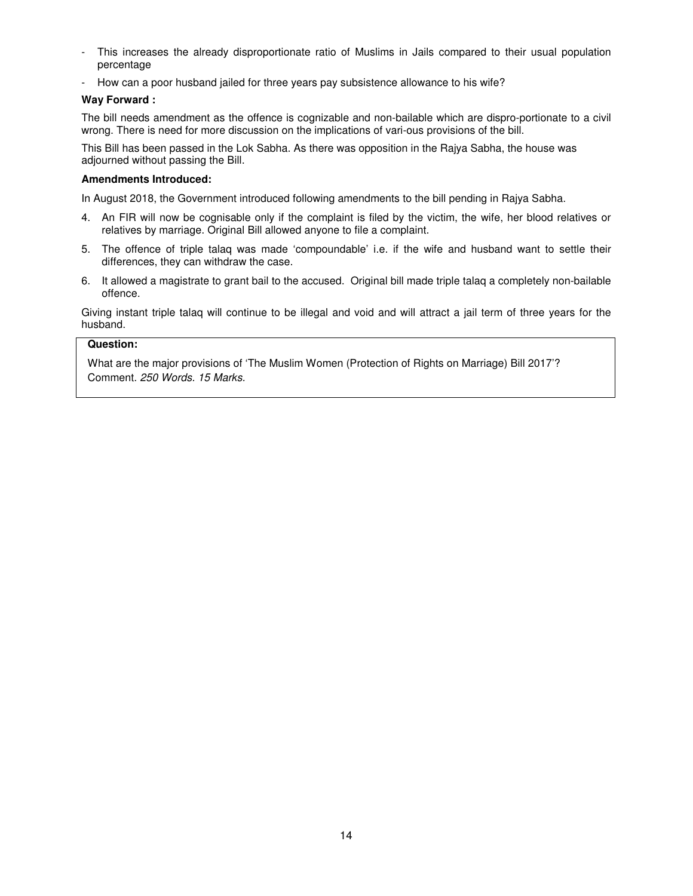- This increases the already disproportionate ratio of Muslims in Jails compared to their usual population percentage
- How can a poor husband jailed for three years pay subsistence allowance to his wife?

# **Way Forward :**

The bill needs amendment as the offence is cognizable and non-bailable which are dispro-portionate to a civil wrong. There is need for more discussion on the implications of vari-ous provisions of the bill.

This Bill has been passed in the Lok Sabha. As there was opposition in the Rajya Sabha, the house was adjourned without passing the Bill.

### **Amendments Introduced:**

In August 2018, the Government introduced following amendments to the bill pending in Rajya Sabha.

- 4. An FIR will now be cognisable only if the complaint is filed by the victim, the wife, her blood relatives or relatives by marriage. Original Bill allowed anyone to file a complaint.
- 5. The offence of triple talaq was made 'compoundable' i.e. if the wife and husband want to settle their differences, they can withdraw the case.
- 6. It allowed a magistrate to grant bail to the accused. Original bill made triple talaq a completely non-bailable offence.

Giving instant triple talaq will continue to be illegal and void and will attract a jail term of three years for the husband.

# **Question:**

What are the major provisions of 'The Muslim Women (Protection of Rights on Marriage) Bill 2017'? Comment. 250 Words. 15 Marks.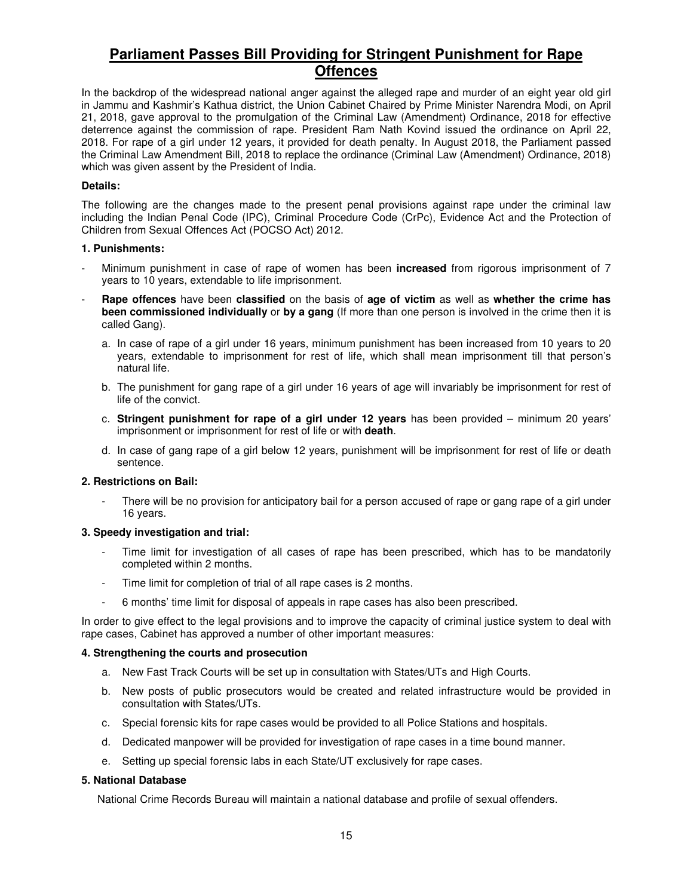# **Parliament Passes Bill Providing for Stringent Punishment for Rape Offences**

In the backdrop of the widespread national anger against the alleged rape and murder of an eight year old girl in Jammu and Kashmir's Kathua district, the Union Cabinet Chaired by Prime Minister Narendra Modi, on April 21, 2018, gave approval to the promulgation of the Criminal Law (Amendment) Ordinance, 2018 for effective deterrence against the commission of rape. President Ram Nath Kovind issued the ordinance on April 22, 2018. For rape of a girl under 12 years, it provided for death penalty. In August 2018, the Parliament passed the Criminal Law Amendment Bill, 2018 to replace the ordinance (Criminal Law (Amendment) Ordinance, 2018) which was given assent by the President of India.

# **Details:**

The following are the changes made to the present penal provisions against rape under the criminal law including the Indian Penal Code (IPC), Criminal Procedure Code (CrPc), Evidence Act and the Protection of Children from Sexual Offences Act (POCSO Act) 2012.

### **1. Punishments:**

- Minimum punishment in case of rape of women has been **increased** from rigorous imprisonment of 7 years to 10 years, extendable to life imprisonment.
- **Rape offences** have been **classified** on the basis of **age of victim** as well as **whether the crime has been commissioned individually** or **by a gang** (If more than one person is involved in the crime then it is called Gang).
	- a. In case of rape of a girl under 16 years, minimum punishment has been increased from 10 years to 20 years, extendable to imprisonment for rest of life, which shall mean imprisonment till that person's natural life.
	- b. The punishment for gang rape of a girl under 16 years of age will invariably be imprisonment for rest of life of the convict.
	- c. **Stringent punishment for rape of a girl under 12 years** has been provided minimum 20 years' imprisonment or imprisonment for rest of life or with **death**.
	- d. In case of gang rape of a girl below 12 years, punishment will be imprisonment for rest of life or death sentence.

### **2. Restrictions on Bail:**

There will be no provision for anticipatory bail for a person accused of rape or gang rape of a girl under 16 years.

### **3. Speedy investigation and trial:**

- Time limit for investigation of all cases of rape has been prescribed, which has to be mandatorily completed within 2 months.
- Time limit for completion of trial of all rape cases is 2 months.
- 6 months' time limit for disposal of appeals in rape cases has also been prescribed.

In order to give effect to the legal provisions and to improve the capacity of criminal justice system to deal with rape cases, Cabinet has approved a number of other important measures:

### **4. Strengthening the courts and prosecution**

- a. New Fast Track Courts will be set up in consultation with States/UTs and High Courts.
- b. New posts of public prosecutors would be created and related infrastructure would be provided in consultation with States/UTs.
- c. Special forensic kits for rape cases would be provided to all Police Stations and hospitals.
- d. Dedicated manpower will be provided for investigation of rape cases in a time bound manner.
- e. Setting up special forensic labs in each State/UT exclusively for rape cases.

# **5. National Database**

National Crime Records Bureau will maintain a national database and profile of sexual offenders.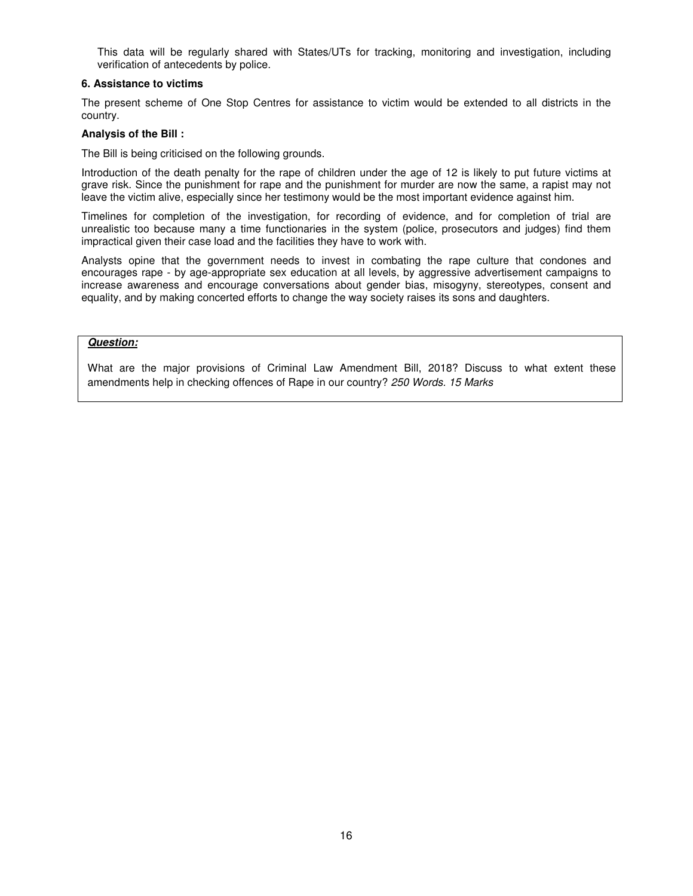This data will be regularly shared with States/UTs for tracking, monitoring and investigation, including verification of antecedents by police.

### **6. Assistance to victims**

The present scheme of One Stop Centres for assistance to victim would be extended to all districts in the country.

### **Analysis of the Bill :**

The Bill is being criticised on the following grounds.

Introduction of the death penalty for the rape of children under the age of 12 is likely to put future victims at grave risk. Since the punishment for rape and the punishment for murder are now the same, a rapist may not leave the victim alive, especially since her testimony would be the most important evidence against him.

Timelines for completion of the investigation, for recording of evidence, and for completion of trial are unrealistic too because many a time functionaries in the system (police, prosecutors and judges) find them impractical given their case load and the facilities they have to work with.

Analysts opine that the government needs to invest in combating the rape culture that condones and encourages rape - by age-appropriate sex education at all levels, by aggressive advertisement campaigns to increase awareness and encourage conversations about gender bias, misogyny, stereotypes, consent and equality, and by making concerted efforts to change the way society raises its sons and daughters.

# **Question:**

What are the major provisions of Criminal Law Amendment Bill, 2018? Discuss to what extent these amendments help in checking offences of Rape in our country? 250 Words. 15 Marks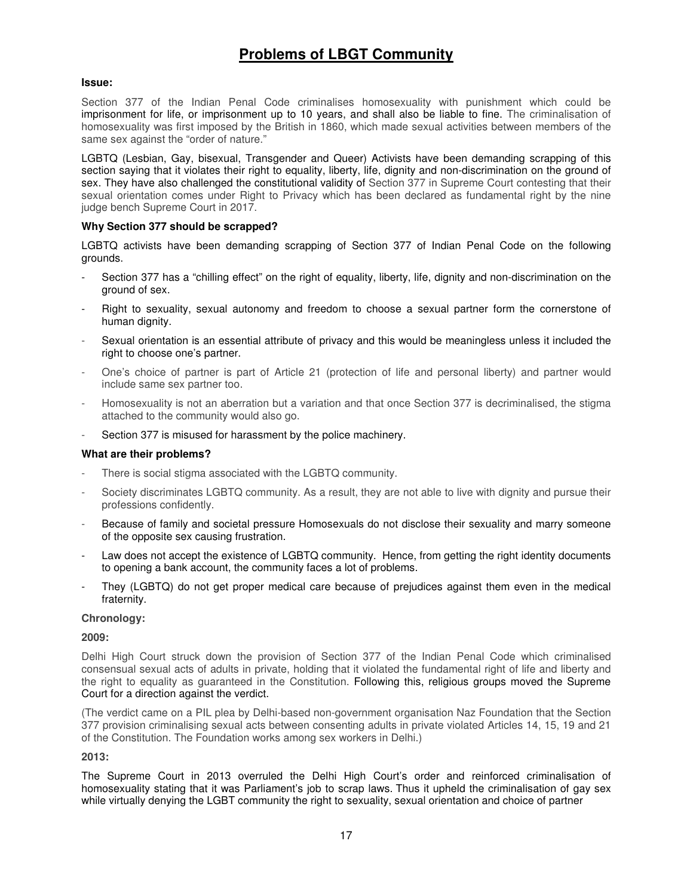# **Problems of LBGT Community**

## **Issue:**

Section 377 of the Indian Penal Code criminalises homosexuality with punishment which could be imprisonment for life, or imprisonment up to 10 years, and shall also be liable to fine. The criminalisation of homosexuality was first imposed by the British in 1860, which made sexual activities between members of the same sex against the "order of nature."

LGBTQ (Lesbian, Gay, bisexual, Transgender and Queer) Activists have been demanding scrapping of this section saying that it violates their right to equality, liberty, life, dignity and non-discrimination on the ground of sex. They have also challenged the constitutional validity of Section 377 in Supreme Court contesting that their sexual orientation comes under Right to Privacy which has been declared as fundamental right by the nine judge bench Supreme Court in 2017.

### **Why Section 377 should be scrapped?**

LGBTQ activists have been demanding scrapping of Section 377 of Indian Penal Code on the following grounds.

- Section 377 has a "chilling effect" on the right of equality, liberty, life, dignity and non-discrimination on the ground of sex.
- Right to sexuality, sexual autonomy and freedom to choose a sexual partner form the cornerstone of human dignity.
- Sexual orientation is an essential attribute of privacy and this would be meaningless unless it included the right to choose one's partner.
- One's choice of partner is part of Article 21 (protection of life and personal liberty) and partner would include same sex partner too.
- Homosexuality is not an aberration but a variation and that once Section 377 is decriminalised, the stigma attached to the community would also go.
- Section 377 is misused for harassment by the police machinery.

### **What are their problems?**

- There is social stigma associated with the LGBTQ community.
- Society discriminates LGBTQ community. As a result, they are not able to live with dignity and pursue their professions confidently.
- Because of family and societal pressure Homosexuals do not disclose their sexuality and marry someone of the opposite sex causing frustration.
- Law does not accept the existence of LGBTQ community. Hence, from getting the right identity documents to opening a bank account, the community faces a lot of problems.
- They (LGBTQ) do not get proper medical care because of prejudices against them even in the medical fraternity.

### **Chronology:**

### **2009:**

Delhi High Court struck down the provision of Section 377 of the Indian Penal Code which criminalised consensual sexual acts of adults in private, holding that it violated the fundamental right of life and liberty and the right to equality as guaranteed in the Constitution. Following this, religious groups moved the Supreme Court for a direction against the verdict.

(The verdict came on a PIL plea by Delhi-based non-government organisation Naz Foundation that the Section 377 provision criminalising sexual acts between consenting adults in private violated Articles 14, 15, 19 and 21 of the Constitution. The Foundation works among sex workers in Delhi.)

### **2013:**

The Supreme Court in 2013 overruled the Delhi High Court's order and reinforced criminalisation of homosexuality stating that it was Parliament's job to scrap laws. Thus it upheld the criminalisation of gay sex while virtually denying the LGBT community the right to sexuality, sexual orientation and choice of partner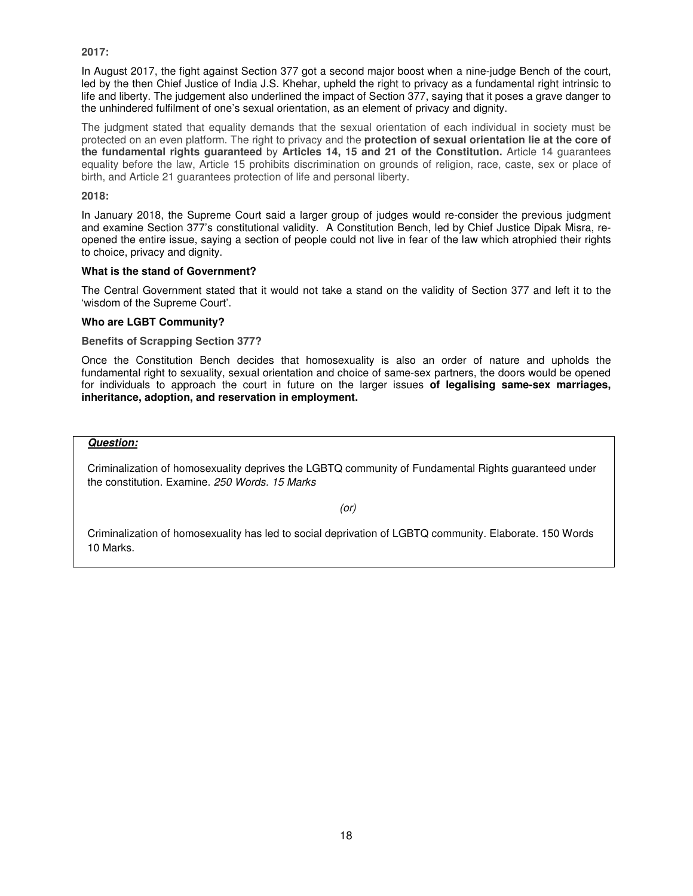### **2017:**

In August 2017, the fight against Section 377 got a second major boost when a nine-judge Bench of the court, led by the then Chief Justice of India J.S. Khehar, upheld the right to privacy as a fundamental right intrinsic to life and liberty. The judgement also underlined the impact of Section 377, saying that it poses a grave danger to the unhindered fulfilment of one's sexual orientation, as an element of privacy and dignity.

The judgment stated that equality demands that the sexual orientation of each individual in society must be protected on an even platform. The right to privacy and the **protection of sexual orientation lie at the core of the fundamental rights guaranteed** by **Articles 14, 15 and 21 of the Constitution.** Article 14 guarantees equality before the law, Article 15 prohibits discrimination on grounds of religion, race, caste, sex or place of birth, and Article 21 guarantees protection of life and personal liberty.

### **2018:**

In January 2018, the Supreme Court said a larger group of judges would re-consider the previous judgment and examine Section 377's constitutional validity. A Constitution Bench, led by Chief Justice Dipak Misra, reopened the entire issue, saying a section of people could not live in fear of the law which atrophied their rights to choice, privacy and dignity.

### **What is the stand of Government?**

The Central Government stated that it would not take a stand on the validity of Section 377 and left it to the 'wisdom of the Supreme Court'.

### **Who are LGBT Community?**

**Benefits of Scrapping Section 377?** 

Once the Constitution Bench decides that homosexuality is also an order of nature and upholds the fundamental right to sexuality, sexual orientation and choice of same-sex partners, the doors would be opened for individuals to approach the court in future on the larger issues **of legalising same-sex marriages, inheritance, adoption, and reservation in employment.** 

# **Question:**

Criminalization of homosexuality deprives the LGBTQ community of Fundamental Rights guaranteed under the constitution. Examine. 250 Words. 15 Marks

(or)

Criminalization of homosexuality has led to social deprivation of LGBTQ community. Elaborate. 150 Words 10 Marks.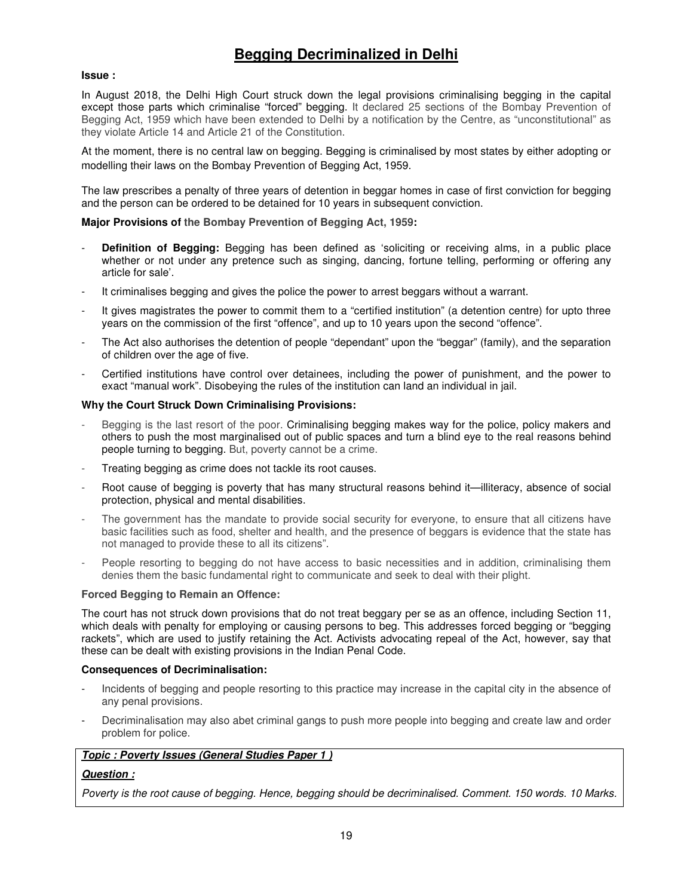# **Begging Decriminalized in Delhi**

### **Issue :**

In August 2018, the Delhi High Court struck down the legal provisions criminalising begging in the capital except those parts which criminalise "forced" begging. It declared 25 sections of the Bombay Prevention of Begging Act, 1959 which have been extended to Delhi by a notification by the Centre, as "unconstitutional" as they violate Article 14 and Article 21 of the Constitution.

At the moment, there is no central law on begging. Begging is criminalised by most states by either adopting or modelling their laws on the Bombay Prevention of Begging Act, 1959.

The law prescribes a penalty of three years of detention in beggar homes in case of first conviction for begging and the person can be ordered to be detained for 10 years in subsequent conviction.

### **Major Provisions of the Bombay Prevention of Begging Act, 1959:**

- **Definition of Begging:** Begging has been defined as 'soliciting or receiving alms, in a public place whether or not under any pretence such as singing, dancing, fortune telling, performing or offering any article for sale'.
- It criminalises begging and gives the police the power to arrest beggars without a warrant.
- It gives magistrates the power to commit them to a "certified institution" (a detention centre) for upto three years on the commission of the first "offence", and up to 10 years upon the second "offence".
- The Act also authorises the detention of people "dependant" upon the "beggar" (family), and the separation of children over the age of five.
- Certified institutions have control over detainees, including the power of punishment, and the power to exact "manual work". Disobeying the rules of the institution can land an individual in jail.

### **Why the Court Struck Down Criminalising Provisions:**

- Begging is the last resort of the poor. Criminalising begging makes way for the police, policy makers and others to push the most marginalised out of public spaces and turn a blind eye to the real reasons behind people turning to begging. But, poverty cannot be a crime.
- Treating begging as crime does not tackle its root causes.
- Root cause of begging is poverty that has many structural reasons behind it—illiteracy, absence of social protection, physical and mental disabilities.
- The government has the mandate to provide social security for everyone, to ensure that all citizens have basic facilities such as food, shelter and health, and the presence of beggars is evidence that the state has not managed to provide these to all its citizens".
- People resorting to begging do not have access to basic necessities and in addition, criminalising them denies them the basic fundamental right to communicate and seek to deal with their plight.

### **Forced Begging to Remain an Offence:**

The court has not struck down provisions that do not treat beggary per se as an offence, including Section 11, which deals with penalty for employing or causing persons to beg. This addresses forced begging or "begging rackets", which are used to justify retaining the Act. Activists advocating repeal of the Act, however, say that these can be dealt with existing provisions in the Indian Penal Code.

### **Consequences of Decriminalisation:**

- Incidents of begging and people resorting to this practice may increase in the capital city in the absence of any penal provisions.
- Decriminalisation may also abet criminal gangs to push more people into begging and create law and order problem for police.

# **Topic : Poverty Issues (General Studies Paper 1 )**

# **Question :**

Poverty is the root cause of begging. Hence, begging should be decriminalised. Comment. 150 words. 10 Marks.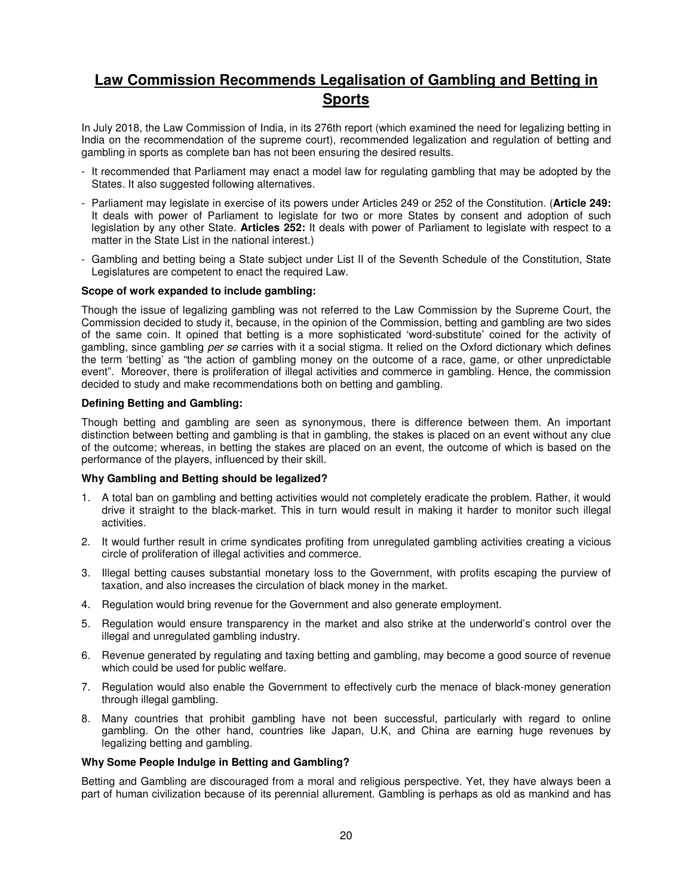# **Law Commission Recommends Legalisation of Gambling and Betting in Sports**

In July 2018, the Law Commission of India, in its 276th report (which examined the need for legalizing betting in India on the recommendation of the supreme court), recommended legalization and regulation of betting and gambling in sports as complete ban has not been ensuring the desired results.

- It recommended that Parliament may enact a model law for regulating gambling that may be adopted by the States. It also suggested following alternatives.
- Parliament may legislate in exercise of its powers under Articles 249 or 252 of the Constitution. (**Article 249:** It deals with power of Parliament to legislate for two or more States by consent and adoption of such legislation by any other State. **Articles 252:** It deals with power of Parliament to legislate with respect to a matter in the State List in the national interest.)
- Gambling and betting being a State subject under List II of the Seventh Schedule of the Constitution, State Legislatures are competent to enact the required Law.

### **Scope of work expanded to include gambling:**

Though the issue of legalizing gambling was not referred to the Law Commission by the Supreme Court, the Commission decided to study it, because, in the opinion of the Commission, betting and gambling are two sides of the same coin. It opined that betting is a more sophisticated 'word-substitute' coined for the activity of gambling, since gambling per se carries with it a social stigma. It relied on the Oxford dictionary which defines the term 'betting' as "the action of gambling money on the outcome of a race, game, or other unpredictable event". Moreover, there is proliferation of illegal activities and commerce in gambling. Hence, the commission decided to study and make recommendations both on betting and gambling.

### **Defining Betting and Gambling:**

Though betting and gambling are seen as synonymous, there is difference between them. An important distinction between betting and gambling is that in gambling, the stakes is placed on an event without any clue of the outcome; whereas, in betting the stakes are placed on an event, the outcome of which is based on the performance of the players, influenced by their skill.

# **Why Gambling and Betting should be legalized?**

- 1. A total ban on gambling and betting activities would not completely eradicate the problem. Rather, it would drive it straight to the black-market. This in turn would result in making it harder to monitor such illegal activities.
- 2. It would further result in crime syndicates profiting from unregulated gambling activities creating a vicious circle of proliferation of illegal activities and commerce.
- 3. Illegal betting causes substantial monetary loss to the Government, with profits escaping the purview of taxation, and also increases the circulation of black money in the market.
- 4. Regulation would bring revenue for the Government and also generate employment.
- 5. Regulation would ensure transparency in the market and also strike at the underworld's control over the illegal and unregulated gambling industry.
- 6. Revenue generated by regulating and taxing betting and gambling, may become a good source of revenue which could be used for public welfare.
- 7. Regulation would also enable the Government to effectively curb the menace of black-money generation through illegal gambling.
- 8. Many countries that prohibit gambling have not been successful, particularly with regard to online gambling. On the other hand, countries like Japan, U.K, and China are earning huge revenues by legalizing betting and gambling.

### **Why Some People Indulge in Betting and Gambling?**

Betting and Gambling are discouraged from a moral and religious perspective. Yet, they have always been a part of human civilization because of its perennial allurement. Gambling is perhaps as old as mankind and has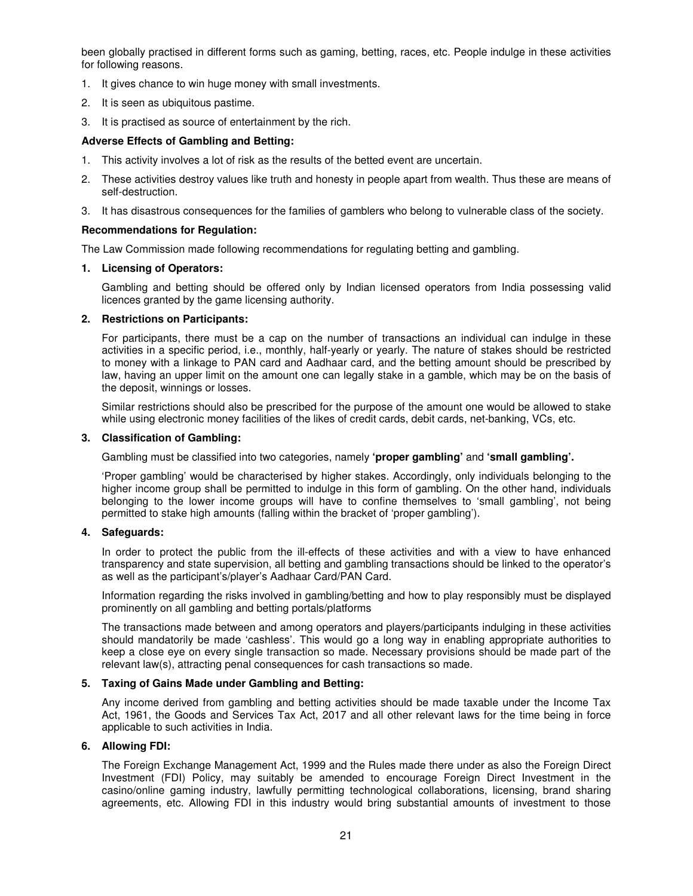been globally practised in different forms such as gaming, betting, races, etc. People indulge in these activities for following reasons.

- 1. It gives chance to win huge money with small investments.
- 2. It is seen as ubiquitous pastime.
- 3. It is practised as source of entertainment by the rich.

### **Adverse Effects of Gambling and Betting:**

- 1. This activity involves a lot of risk as the results of the betted event are uncertain.
- 2. These activities destroy values like truth and honesty in people apart from wealth. Thus these are means of self-destruction.
- 3. It has disastrous consequences for the families of gamblers who belong to vulnerable class of the society.

### **Recommendations for Regulation:**

The Law Commission made following recommendations for regulating betting and gambling.

### **1. Licensing of Operators:**

Gambling and betting should be offered only by Indian licensed operators from India possessing valid licences granted by the game licensing authority.

### **2. Restrictions on Participants:**

For participants, there must be a cap on the number of transactions an individual can indulge in these activities in a specific period, i.e., monthly, half-yearly or yearly. The nature of stakes should be restricted to money with a linkage to PAN card and Aadhaar card, and the betting amount should be prescribed by law, having an upper limit on the amount one can legally stake in a gamble, which may be on the basis of the deposit, winnings or losses.

Similar restrictions should also be prescribed for the purpose of the amount one would be allowed to stake while using electronic money facilities of the likes of credit cards, debit cards, net-banking, VCs, etc.

### **3. Classification of Gambling:**

Gambling must be classified into two categories, namely **'proper gambling'** and **'small gambling'.**

'Proper gambling' would be characterised by higher stakes. Accordingly, only individuals belonging to the higher income group shall be permitted to indulge in this form of gambling. On the other hand, individuals belonging to the lower income groups will have to confine themselves to 'small gambling', not being permitted to stake high amounts (falling within the bracket of 'proper gambling').

# **4. Safeguards:**

In order to protect the public from the ill-effects of these activities and with a view to have enhanced transparency and state supervision, all betting and gambling transactions should be linked to the operator's as well as the participant's/player's Aadhaar Card/PAN Card.

Information regarding the risks involved in gambling/betting and how to play responsibly must be displayed prominently on all gambling and betting portals/platforms

The transactions made between and among operators and players/participants indulging in these activities should mandatorily be made 'cashless'. This would go a long way in enabling appropriate authorities to keep a close eye on every single transaction so made. Necessary provisions should be made part of the relevant law(s), attracting penal consequences for cash transactions so made.

### **5. Taxing of Gains Made under Gambling and Betting:**

Any income derived from gambling and betting activities should be made taxable under the Income Tax Act, 1961, the Goods and Services Tax Act, 2017 and all other relevant laws for the time being in force applicable to such activities in India.

### **6. Allowing FDI:**

The Foreign Exchange Management Act, 1999 and the Rules made there under as also the Foreign Direct Investment (FDI) Policy, may suitably be amended to encourage Foreign Direct Investment in the casino/online gaming industry, lawfully permitting technological collaborations, licensing, brand sharing agreements, etc. Allowing FDI in this industry would bring substantial amounts of investment to those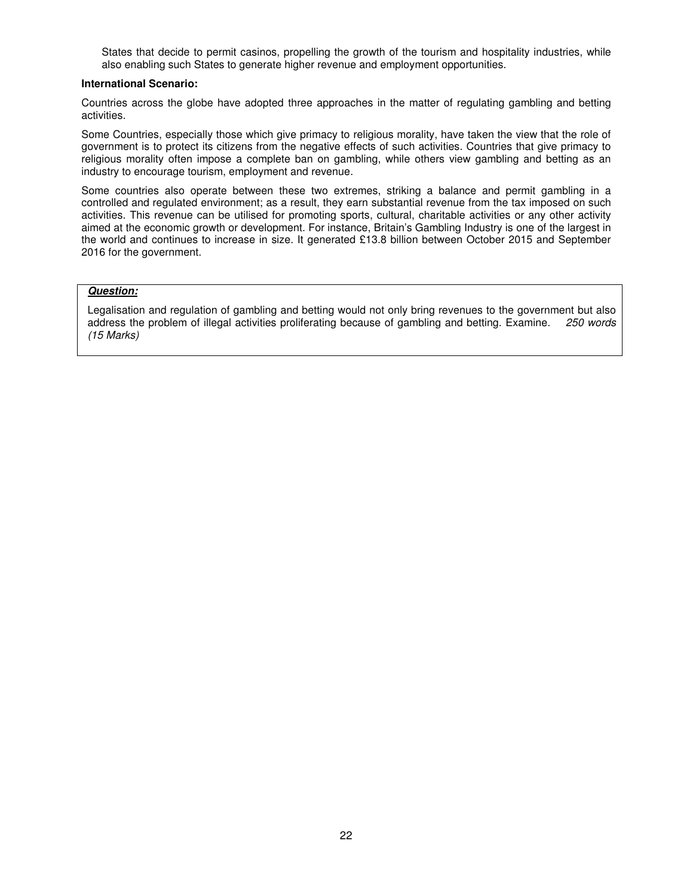States that decide to permit casinos, propelling the growth of the tourism and hospitality industries, while also enabling such States to generate higher revenue and employment opportunities.

#### **International Scenario:**

Countries across the globe have adopted three approaches in the matter of regulating gambling and betting activities.

Some Countries, especially those which give primacy to religious morality, have taken the view that the role of government is to protect its citizens from the negative effects of such activities. Countries that give primacy to religious morality often impose a complete ban on gambling, while others view gambling and betting as an industry to encourage tourism, employment and revenue.

Some countries also operate between these two extremes, striking a balance and permit gambling in a controlled and regulated environment; as a result, they earn substantial revenue from the tax imposed on such activities. This revenue can be utilised for promoting sports, cultural, charitable activities or any other activity aimed at the economic growth or development. For instance, Britain's Gambling Industry is one of the largest in the world and continues to increase in size. It generated £13.8 billion between October 2015 and September 2016 for the government.

### **Question:**

Legalisation and regulation of gambling and betting would not only bring revenues to the government but also address the problem of illegal activities proliferating because of gambling and betting. Examine. 250 words (15 Marks)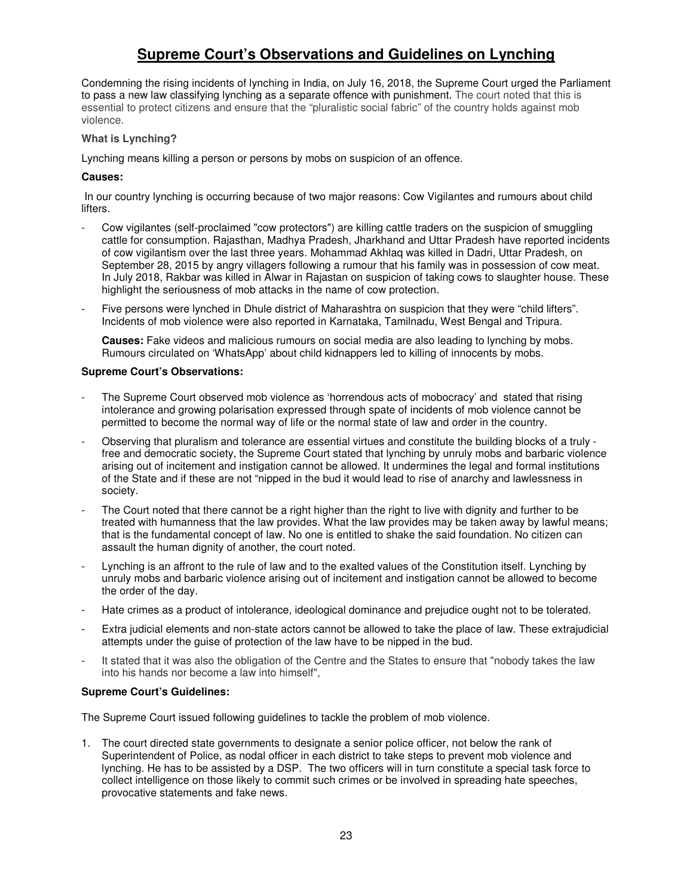# **Supreme Court's Observations and Guidelines on Lynching**

Condemning the rising incidents of lynching in India, on July 16, 2018, the Supreme Court urged the Parliament to pass a new law classifying lynching as a separate offence with punishment. The court noted that this is essential to protect citizens and ensure that the "pluralistic social fabric" of the country holds against mob violence.

# **What is Lynching?**

Lynching means killing a person or persons by mobs on suspicion of an offence.

### **Causes:**

 In our country lynching is occurring because of two major reasons: Cow Vigilantes and rumours about child lifters.

- Cow vigilantes (self-proclaimed "cow protectors") are killing cattle traders on the suspicion of smuggling cattle for consumption. Rajasthan, Madhya Pradesh, Jharkhand and Uttar Pradesh have reported incidents of cow vigilantism over the last three years. Mohammad Akhlaq was killed in Dadri, Uttar Pradesh, on September 28, 2015 by angry villagers following a rumour that his family was in possession of cow meat. In July 2018, Rakbar was killed in Alwar in Rajastan on suspicion of taking cows to slaughter house. These highlight the seriousness of mob attacks in the name of cow protection.
- Five persons were lynched in Dhule district of Maharashtra on suspicion that they were "child lifters". Incidents of mob violence were also reported in Karnataka, Tamilnadu, West Bengal and Tripura.

**Causes:** Fake videos and malicious rumours on social media are also leading to lynching by mobs. Rumours circulated on 'WhatsApp' about child kidnappers led to killing of innocents by mobs.

### **Supreme Court's Observations:**

- The Supreme Court observed mob violence as 'horrendous acts of mobocracy' and stated that rising intolerance and growing polarisation expressed through spate of incidents of mob violence cannot be permitted to become the normal way of life or the normal state of law and order in the country.
- Observing that pluralism and tolerance are essential virtues and constitute the building blocks of a truly free and democratic society, the Supreme Court stated that lynching by unruly mobs and barbaric violence arising out of incitement and instigation cannot be allowed. It undermines the legal and formal institutions of the State and if these are not "nipped in the bud it would lead to rise of anarchy and lawlessness in society.
- The Court noted that there cannot be a right higher than the right to live with dignity and further to be treated with humanness that the law provides. What the law provides may be taken away by lawful means; that is the fundamental concept of law. No one is entitled to shake the said foundation. No citizen can assault the human dignity of another, the court noted.
- Lynching is an affront to the rule of law and to the exalted values of the Constitution itself. Lynching by unruly mobs and barbaric violence arising out of incitement and instigation cannot be allowed to become the order of the day.
- Hate crimes as a product of intolerance, ideological dominance and prejudice ought not to be tolerated.
- Extra judicial elements and non-state actors cannot be allowed to take the place of law. These extrajudicial attempts under the guise of protection of the law have to be nipped in the bud.
- It stated that it was also the obligation of the Centre and the States to ensure that "nobody takes the law into his hands nor become a law into himself",

# **Supreme Court's Guidelines:**

The Supreme Court issued following guidelines to tackle the problem of mob violence.

1. The court directed state governments to designate a senior police officer, not below the rank of Superintendent of Police, as nodal officer in each district to take steps to prevent mob violence and lynching. He has to be assisted by a DSP. The two officers will in turn constitute a special task force to collect intelligence on those likely to commit such crimes or be involved in spreading hate speeches, provocative statements and fake news.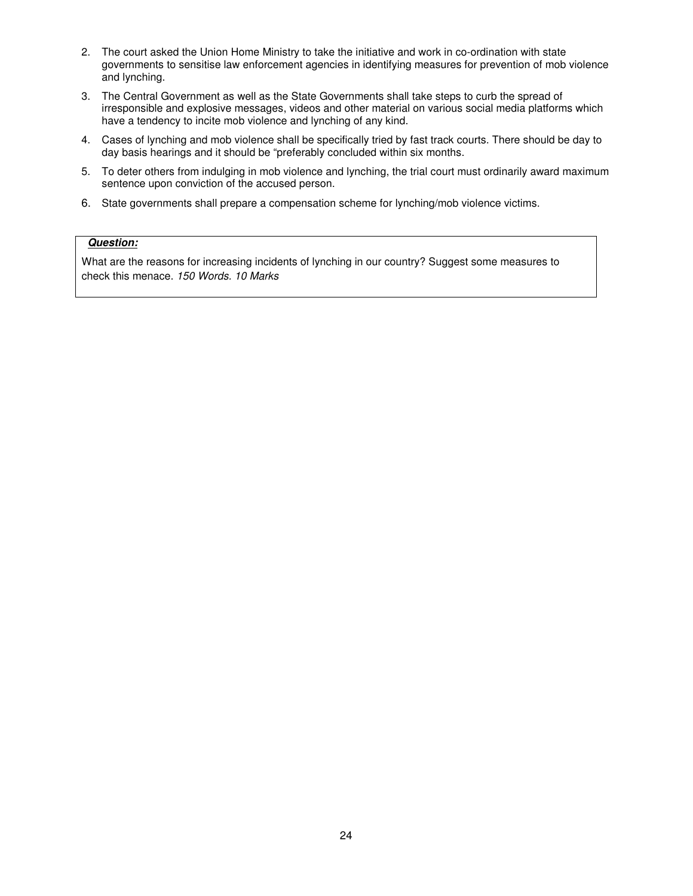- 2. The court asked the Union Home Ministry to take the initiative and work in co-ordination with state governments to sensitise law enforcement agencies in identifying measures for prevention of mob violence and lynching.
- 3. The Central Government as well as the State Governments shall take steps to curb the spread of irresponsible and explosive messages, videos and other material on various social media platforms which have a tendency to incite mob violence and lynching of any kind.
- 4. Cases of lynching and mob violence shall be specifically tried by fast track courts. There should be day to day basis hearings and it should be "preferably concluded within six months.
- 5. To deter others from indulging in mob violence and lynching, the trial court must ordinarily award maximum sentence upon conviction of the accused person.
- 6. State governments shall prepare a compensation scheme for lynching/mob violence victims.

# **Question:**

What are the reasons for increasing incidents of lynching in our country? Suggest some measures to check this menace. 150 Words. 10 Marks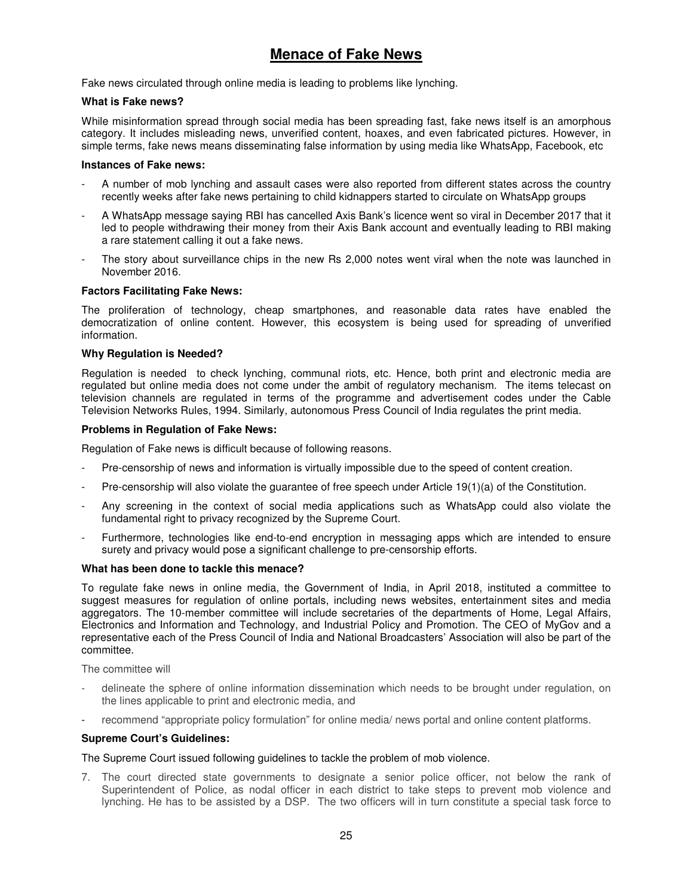# **Menace of Fake News**

Fake news circulated through online media is leading to problems like lynching.

### **What is Fake news?**

While misinformation spread through social media has been spreading fast, fake news itself is an amorphous category. It includes misleading news, unverified content, hoaxes, and even fabricated pictures. However, in simple terms, fake news means disseminating false information by using media like WhatsApp, Facebook, etc

### **Instances of Fake news:**

- A number of mob lynching and assault cases were also reported from different states across the country recently weeks after fake news pertaining to child kidnappers started to circulate on WhatsApp groups
- A WhatsApp message saying RBI has cancelled Axis Bank's licence went so viral in December 2017 that it led to people withdrawing their money from their Axis Bank account and eventually leading to RBI making a rare statement calling it out a fake news.
- The story about surveillance chips in the new Rs 2,000 notes went viral when the note was launched in November 2016.

### **Factors Facilitating Fake News:**

The proliferation of technology, cheap smartphones, and reasonable data rates have enabled the democratization of online content. However, this ecosystem is being used for spreading of unverified information.

### **Why Regulation is Needed?**

Regulation is needed to check lynching, communal riots, etc. Hence, both print and electronic media are regulated but online media does not come under the ambit of regulatory mechanism. The items telecast on television channels are regulated in terms of the programme and advertisement codes under the Cable Television Networks Rules, 1994. Similarly, autonomous Press Council of India regulates the print media.

### **Problems in Regulation of Fake News:**

Regulation of Fake news is difficult because of following reasons.

- Pre-censorship of news and information is virtually impossible due to the speed of content creation.
- Pre-censorship will also violate the guarantee of free speech under Article 19(1)(a) of the Constitution.
- Any screening in the context of social media applications such as WhatsApp could also violate the fundamental right to privacy recognized by the Supreme Court.
- Furthermore, technologies like end-to-end encryption in messaging apps which are intended to ensure surety and privacy would pose a significant challenge to pre-censorship efforts.

### **What has been done to tackle this menace?**

To regulate fake news in online media, the Government of India, in April 2018, instituted a committee to suggest measures for regulation of online portals, including news websites, entertainment sites and media aggregators. The 10-member committee will include secretaries of the departments of Home, Legal Affairs, Electronics and Information and Technology, and Industrial Policy and Promotion. The CEO of MyGov and a representative each of the Press Council of India and National Broadcasters' Association will also be part of the committee.

The committee will

- delineate the sphere of online information dissemination which needs to be brought under regulation, on the lines applicable to print and electronic media, and
- recommend "appropriate policy formulation" for online media/ news portal and online content platforms.

### **Supreme Court's Guidelines:**

### The Supreme Court issued following guidelines to tackle the problem of mob violence.

7. The court directed state governments to designate a senior police officer, not below the rank of Superintendent of Police, as nodal officer in each district to take steps to prevent mob violence and lynching. He has to be assisted by a DSP. The two officers will in turn constitute a special task force to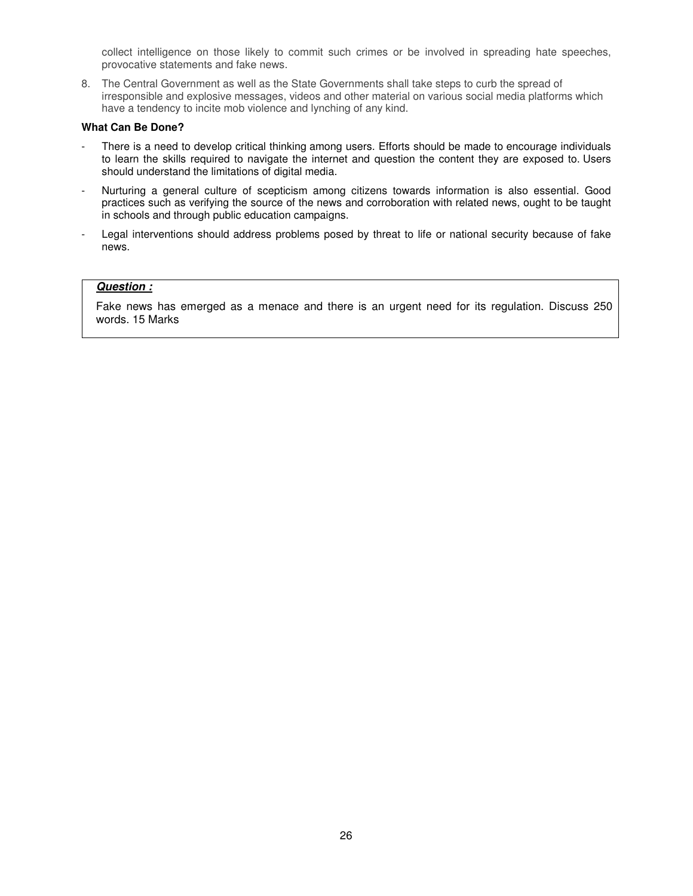collect intelligence on those likely to commit such crimes or be involved in spreading hate speeches, provocative statements and fake news.

8. The Central Government as well as the State Governments shall take steps to curb the spread of irresponsible and explosive messages, videos and other material on various social media platforms which have a tendency to incite mob violence and lynching of any kind.

### **What Can Be Done?**

- There is a need to develop critical thinking among users. Efforts should be made to encourage individuals to learn the skills required to navigate the internet and question the content they are exposed to. Users should understand the limitations of digital media.
- Nurturing a general culture of scepticism among citizens towards information is also essential. Good practices such as verifying the source of the news and corroboration with related news, ought to be taught in schools and through public education campaigns.
- Legal interventions should address problems posed by threat to life or national security because of fake news.

# **Question :**

Fake news has emerged as a menace and there is an urgent need for its regulation. Discuss 250 words. 15 Marks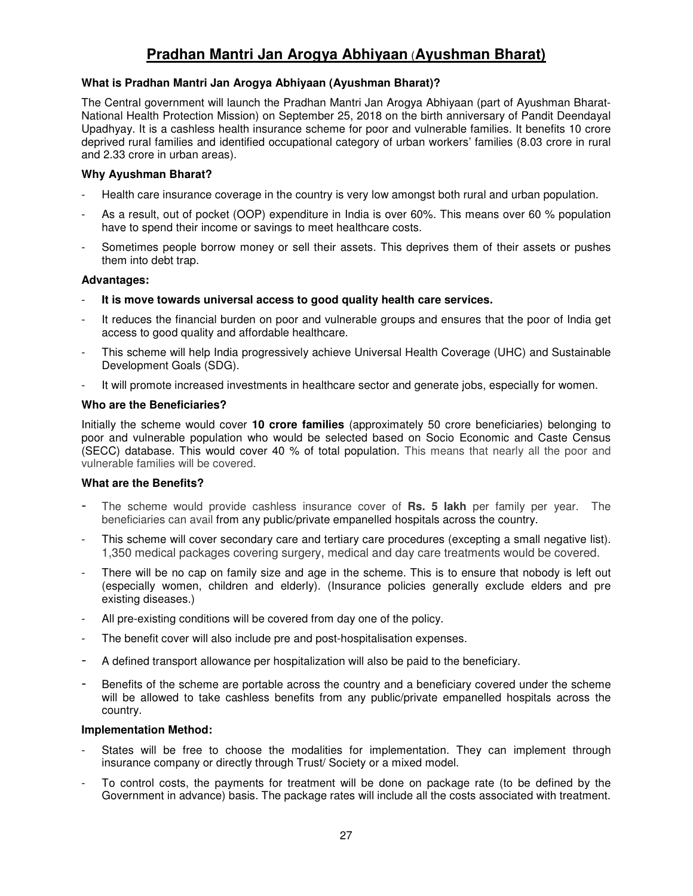# **Pradhan Mantri Jan Arogya Abhiyaan** (**Ayushman Bharat)**

# **What is Pradhan Mantri Jan Arogya Abhiyaan (Ayushman Bharat)?**

The Central government will launch the Pradhan Mantri Jan Arogya Abhiyaan (part of Ayushman Bharat-National Health Protection Mission) on September 25, 2018 on the birth anniversary of Pandit Deendayal Upadhyay. It is a cashless health insurance scheme for poor and vulnerable families. It benefits 10 crore deprived rural families and identified occupational category of urban workers' families (8.03 crore in rural and 2.33 crore in urban areas).

# **Why Ayushman Bharat?**

- Health care insurance coverage in the country is very low amongst both rural and urban population.
- As a result, out of pocket (OOP) expenditure in India is over 60%. This means over 60 % population have to spend their income or savings to meet healthcare costs.
- Sometimes people borrow money or sell their assets. This deprives them of their assets or pushes them into debt trap.

# **Advantages:**

- **It is move towards universal access to good quality health care services.**
- It reduces the financial burden on poor and vulnerable groups and ensures that the poor of India get access to good quality and affordable healthcare.
- This scheme will help India progressively achieve Universal Health Coverage (UHC) and Sustainable Development Goals (SDG).
- It will promote increased investments in healthcare sector and generate jobs, especially for women.

# **Who are the Beneficiaries?**

Initially the scheme would cover **10 crore families** (approximately 50 crore beneficiaries) belonging to poor and vulnerable population who would be selected based on Socio Economic and Caste Census (SECC) database. This would cover 40 % of total population. This means that nearly all the poor and vulnerable families will be covered.

# **What are the Benefits?**

- The scheme would provide cashless insurance cover of **Rs. 5 lakh** per family per year. The beneficiaries can avail from any public/private empanelled hospitals across the country.
- This scheme will cover secondary care and tertiary care procedures (excepting a small negative list). 1,350 medical packages covering surgery, medical and day care treatments would be covered.
- There will be no cap on family size and age in the scheme. This is to ensure that nobody is left out (especially women, children and elderly). (Insurance policies generally exclude elders and pre existing diseases.)
- All pre-existing conditions will be covered from day one of the policy.
- The benefit cover will also include pre and post-hospitalisation expenses.
- A defined transport allowance per hospitalization will also be paid to the beneficiary.
- Benefits of the scheme are portable across the country and a beneficiary covered under the scheme will be allowed to take cashless benefits from any public/private empanelled hospitals across the country.

# **Implementation Method:**

- States will be free to choose the modalities for implementation. They can implement through insurance company or directly through Trust/ Society or a mixed model.
- To control costs, the payments for treatment will be done on package rate (to be defined by the Government in advance) basis. The package rates will include all the costs associated with treatment.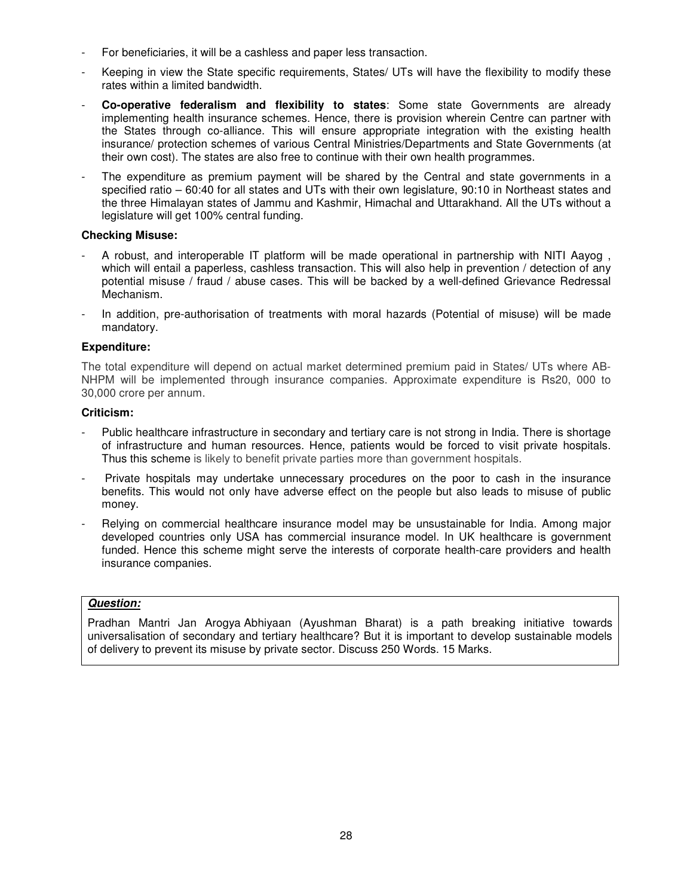- For beneficiaries, it will be a cashless and paper less transaction.
- Keeping in view the State specific requirements, States/ UTs will have the flexibility to modify these rates within a limited bandwidth.
- **Co-operative federalism and flexibility to states**: Some state Governments are already implementing health insurance schemes. Hence, there is provision wherein Centre can partner with the States through co-alliance. This will ensure appropriate integration with the existing health insurance/ protection schemes of various Central Ministries/Departments and State Governments (at their own cost). The states are also free to continue with their own health programmes.
- The expenditure as premium payment will be shared by the Central and state governments in a specified ratio – 60:40 for all states and UTs with their own legislature, 90:10 in Northeast states and the three Himalayan states of Jammu and Kashmir, Himachal and Uttarakhand. All the UTs without a legislature will get 100% central funding.

# **Checking Misuse:**

- A robust, and interoperable IT platform will be made operational in partnership with NITI Aayog, which will entail a paperless, cashless transaction. This will also help in prevention / detection of any potential misuse / fraud / abuse cases. This will be backed by a well-defined Grievance Redressal Mechanism.
- In addition, pre-authorisation of treatments with moral hazards (Potential of misuse) will be made mandatory.

# **Expenditure:**

The total expenditure will depend on actual market determined premium paid in States/ UTs where AB-NHPM will be implemented through insurance companies. Approximate expenditure is Rs20, 000 to 30,000 crore per annum.

# **Criticism:**

- Public healthcare infrastructure in secondary and tertiary care is not strong in India. There is shortage of infrastructure and human resources. Hence, patients would be forced to visit private hospitals. Thus this scheme is likely to benefit private parties more than government hospitals.
- Private hospitals may undertake unnecessary procedures on the poor to cash in the insurance benefits. This would not only have adverse effect on the people but also leads to misuse of public money.
- Relying on commercial healthcare insurance model may be unsustainable for India. Among major developed countries only USA has commercial insurance model. In UK healthcare is government funded. Hence this scheme might serve the interests of corporate health-care providers and health insurance companies.

# **Question:**

Pradhan Mantri Jan Arogya Abhiyaan (Ayushman Bharat) is a path breaking initiative towards universalisation of secondary and tertiary healthcare? But it is important to develop sustainable models of delivery to prevent its misuse by private sector. Discuss 250 Words. 15 Marks.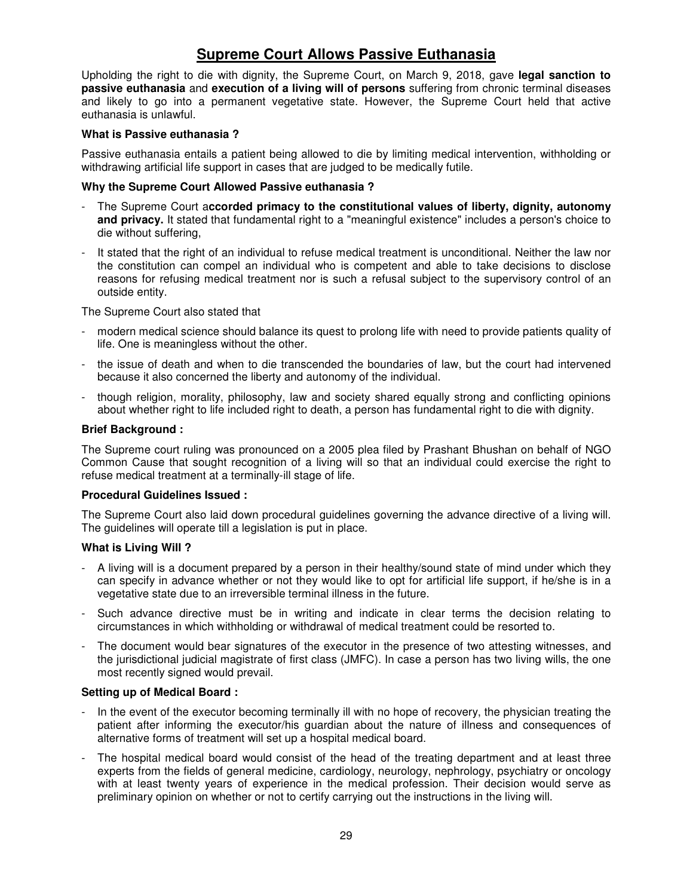# **Supreme Court Allows Passive Euthanasia**

Upholding the right to die with dignity, the Supreme Court, on March 9, 2018, gave **legal sanction to passive euthanasia** and **execution of a living will of persons** suffering from chronic terminal diseases and likely to go into a permanent vegetative state. However, the Supreme Court held that active euthanasia is unlawful.

# **What is Passive euthanasia ?**

Passive euthanasia entails a patient being allowed to die by limiting medical intervention, withholding or withdrawing artificial life support in cases that are judged to be medically futile.

# **Why the Supreme Court Allowed Passive euthanasia ?**

- The Supreme Court a**ccorded primacy to the constitutional values of liberty, dignity, autonomy and privacy.** It stated that fundamental right to a "meaningful existence" includes a person's choice to die without suffering,
- It stated that the right of an individual to refuse medical treatment is unconditional. Neither the law nor the constitution can compel an individual who is competent and able to take decisions to disclose reasons for refusing medical treatment nor is such a refusal subject to the supervisory control of an outside entity.

The Supreme Court also stated that

- modern medical science should balance its quest to prolong life with need to provide patients quality of life. One is meaningless without the other.
- the issue of death and when to die transcended the boundaries of law, but the court had intervened because it also concerned the liberty and autonomy of the individual.
- though religion, morality, philosophy, law and society shared equally strong and conflicting opinions about whether right to life included right to death, a person has fundamental right to die with dignity.

# **Brief Background :**

The Supreme court ruling was pronounced on a 2005 plea filed by Prashant Bhushan on behalf of NGO Common Cause that sought recognition of a living will so that an individual could exercise the right to refuse medical treatment at a terminally-ill stage of life.

# **Procedural Guidelines Issued :**

The Supreme Court also laid down procedural guidelines governing the advance directive of a living will. The guidelines will operate till a legislation is put in place.

# **What is Living Will ?**

- A living will is a document prepared by a person in their healthy/sound state of mind under which they can specify in advance whether or not they would like to opt for artificial life support, if he/she is in a vegetative state due to an irreversible terminal illness in the future.
- Such advance directive must be in writing and indicate in clear terms the decision relating to circumstances in which withholding or withdrawal of medical treatment could be resorted to.
- The document would bear signatures of the executor in the presence of two attesting witnesses, and the jurisdictional judicial magistrate of first class (JMFC). In case a person has two living wills, the one most recently signed would prevail.

# **Setting up of Medical Board :**

- In the event of the executor becoming terminally ill with no hope of recovery, the physician treating the patient after informing the executor/his guardian about the nature of illness and consequences of alternative forms of treatment will set up a hospital medical board.
- The hospital medical board would consist of the head of the treating department and at least three experts from the fields of general medicine, cardiology, neurology, nephrology, psychiatry or oncology with at least twenty years of experience in the medical profession. Their decision would serve as preliminary opinion on whether or not to certify carrying out the instructions in the living will.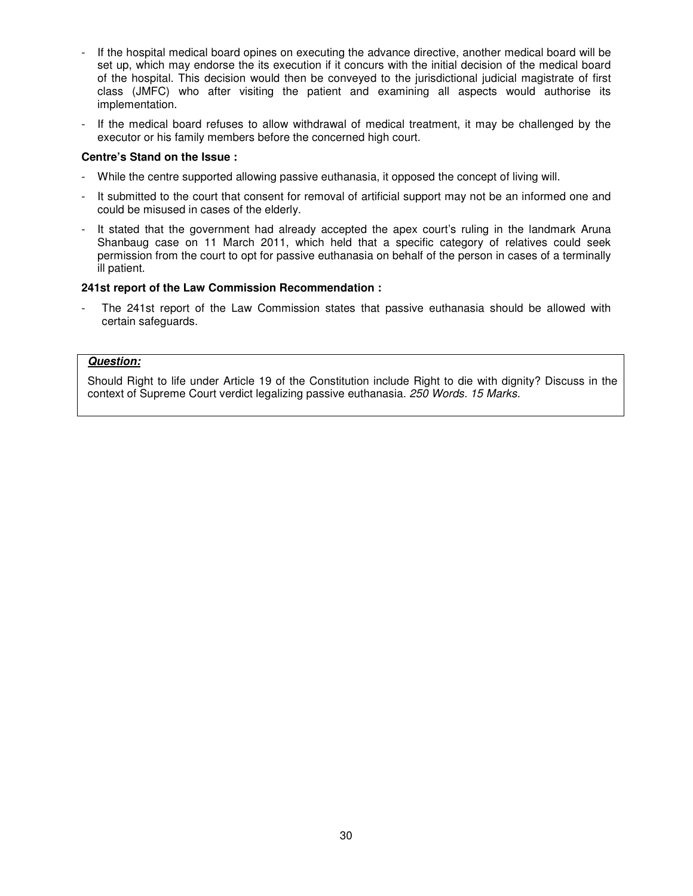- If the hospital medical board opines on executing the advance directive, another medical board will be set up, which may endorse the its execution if it concurs with the initial decision of the medical board of the hospital. This decision would then be conveyed to the jurisdictional judicial magistrate of first class (JMFC) who after visiting the patient and examining all aspects would authorise its implementation.
- If the medical board refuses to allow withdrawal of medical treatment, it may be challenged by the executor or his family members before the concerned high court.

# **Centre's Stand on the Issue :**

- While the centre supported allowing passive euthanasia, it opposed the concept of living will.
- It submitted to the court that consent for removal of artificial support may not be an informed one and could be misused in cases of the elderly.
- It stated that the government had already accepted the apex court's ruling in the landmark Aruna Shanbaug case on 11 March 2011, which held that a specific category of relatives could seek permission from the court to opt for passive euthanasia on behalf of the person in cases of a terminally ill patient.

### **241st report of the Law Commission Recommendation :**

The 241st report of the Law Commission states that passive euthanasia should be allowed with certain safeguards.

### **Question:**

Should Right to life under Article 19 of the Constitution include Right to die with dignity? Discuss in the context of Supreme Court verdict legalizing passive euthanasia. 250 Words. 15 Marks.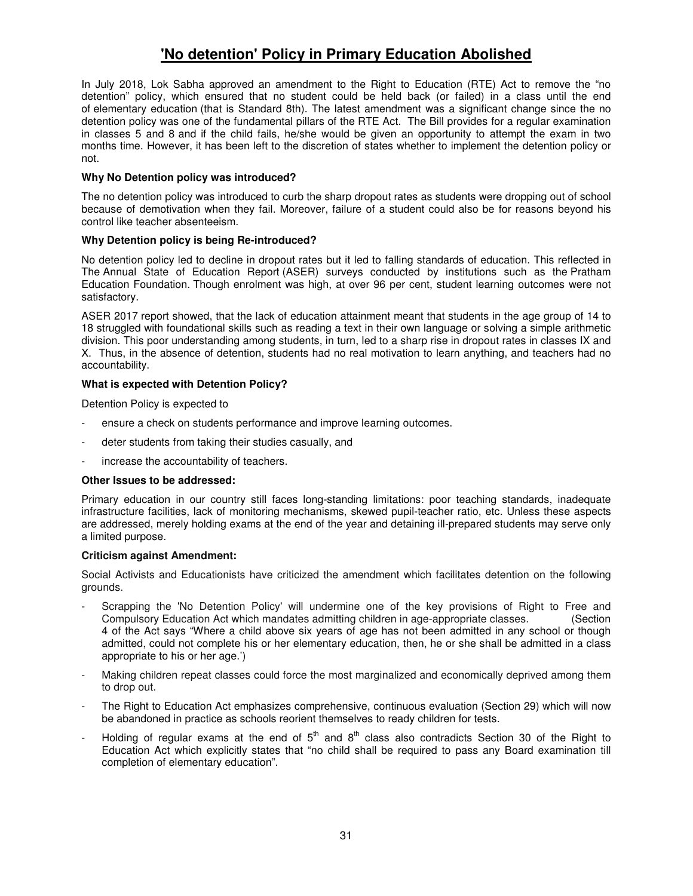# **'No detention' Policy in Primary Education Abolished**

In July 2018, Lok Sabha approved an amendment to the Right to Education (RTE) Act to remove the "no detention" policy, which ensured that no student could be held back (or failed) in a class until the end of elementary education (that is Standard 8th). The latest amendment was a significant change since the no detention policy was one of the fundamental pillars of the RTE Act. The Bill provides for a regular examination in classes 5 and 8 and if the child fails, he/she would be given an opportunity to attempt the exam in two months time. However, it has been left to the discretion of states whether to implement the detention policy or not.

### **Why No Detention policy was introduced?**

The no detention policy was introduced to curb the sharp dropout rates as students were dropping out of school because of demotivation when they fail. Moreover, failure of a student could also be for reasons beyond his control like teacher absenteeism.

### **Why Detention policy is being Re-introduced?**

No detention policy led to decline in dropout rates but it led to falling standards of education. This reflected in The Annual State of Education Report (ASER) surveys conducted by institutions such as the Pratham Education Foundation. Though enrolment was high, at over 96 per cent, student learning outcomes were not satisfactory.

ASER 2017 report showed, that the lack of education attainment meant that students in the age group of 14 to 18 struggled with foundational skills such as reading a text in their own language or solving a simple arithmetic division. This poor understanding among students, in turn, led to a sharp rise in dropout rates in classes IX and X. Thus, in the absence of detention, students had no real motivation to learn anything, and teachers had no accountability.

### **What is expected with Detention Policy?**

Detention Policy is expected to

- ensure a check on students performance and improve learning outcomes.
- deter students from taking their studies casually, and
- increase the accountability of teachers.

### **Other Issues to be addressed:**

Primary education in our country still faces long-standing limitations: poor teaching standards, inadequate infrastructure facilities, lack of monitoring mechanisms, skewed pupil-teacher ratio, etc. Unless these aspects are addressed, merely holding exams at the end of the year and detaining ill-prepared students may serve only a limited purpose.

### **Criticism against Amendment:**

Social Activists and Educationists have criticized the amendment which facilitates detention on the following grounds.

- Scrapping the 'No Detention Policy' will undermine one of the key provisions of Right to Free and Compulsory Education Act which mandates admitting children in age-appropriate classes. (Section 4 of the Act says "Where a child above six years of age has not been admitted in any school or though admitted, could not complete his or her elementary education, then, he or she shall be admitted in a class appropriate to his or her age.')
- Making children repeat classes could force the most marginalized and economically deprived among them to drop out.
- The Right to Education Act emphasizes comprehensive, continuous evaluation (Section 29) which will now be abandoned in practice as schools reorient themselves to ready children for tests.
- Holding of regular exams at the end of  $5<sup>th</sup>$  and  $8<sup>th</sup>$  class also contradicts Section 30 of the Right to Education Act which explicitly states that "no child shall be required to pass any Board examination till completion of elementary education".